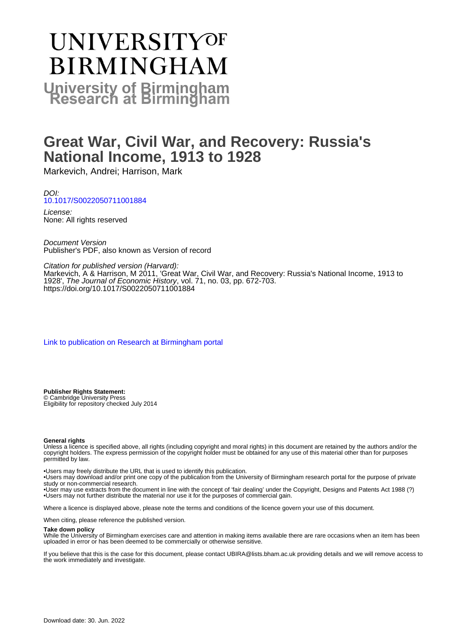# **UNIVERSITYOF BIRMINGHAM University of Birmingham**

# **Great War, Civil War, and Recovery: Russia's National Income, 1913 to 1928**

Markevich, Andrei; Harrison, Mark

DOI: [10.1017/S0022050711001884](https://doi.org/10.1017/S0022050711001884)

License: None: All rights reserved

Document Version Publisher's PDF, also known as Version of record

Citation for published version (Harvard):

Markevich, A & Harrison, M 2011, 'Great War, Civil War, and Recovery: Russia's National Income, 1913 to 1928', The Journal of Economic History, vol. 71, no. 03, pp. 672-703. <https://doi.org/10.1017/S0022050711001884>

[Link to publication on Research at Birmingham portal](https://birmingham.elsevierpure.com/en/publications/c875a276-094d-4289-b346-c4ac3b4f5757)

**Publisher Rights Statement:** © Cambridge University Press Eligibility for repository checked July 2014

#### **General rights**

Unless a licence is specified above, all rights (including copyright and moral rights) in this document are retained by the authors and/or the copyright holders. The express permission of the copyright holder must be obtained for any use of this material other than for purposes permitted by law.

• Users may freely distribute the URL that is used to identify this publication.

• Users may download and/or print one copy of the publication from the University of Birmingham research portal for the purpose of private study or non-commercial research.

• User may use extracts from the document in line with the concept of 'fair dealing' under the Copyright, Designs and Patents Act 1988 (?) • Users may not further distribute the material nor use it for the purposes of commercial gain.

Where a licence is displayed above, please note the terms and conditions of the licence govern your use of this document.

When citing, please reference the published version.

#### **Take down policy**

While the University of Birmingham exercises care and attention in making items available there are rare occasions when an item has been uploaded in error or has been deemed to be commercially or otherwise sensitive.

If you believe that this is the case for this document, please contact UBIRA@lists.bham.ac.uk providing details and we will remove access to the work immediately and investigate.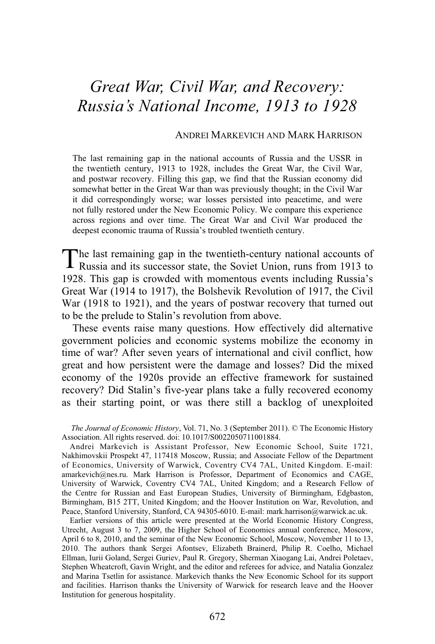# *Great War, Civil War, and Recovery: Russia's National Income, 1913 to 1928*

#### ANDREI MARKEVICH AND MARK HARRISON

The last remaining gap in the national accounts of Russia and the USSR in the twentieth century, 1913 to 1928, includes the Great War, the Civil War, and postwar recovery. Filling this gap, we find that the Russian economy did somewhat better in the Great War than was previously thought; in the Civil War it did correspondingly worse; war losses persisted into peacetime, and were not fully restored under the New Economic Policy. We compare this experience across regions and over time. The Great War and Civil War produced the deepest economic trauma of Russia's troubled twentieth century.

he last remaining gap in the twentieth-century national accounts of The last remaining gap in the twentieth-century national accounts of Russia and its successor state, the Soviet Union, runs from 1913 to 1928. This gap is crowded with momentous events including Russia's Great War (1914 to 1917), the Bolshevik Revolution of 1917, the Civil War (1918 to 1921), and the years of postwar recovery that turned out to be the prelude to Stalin's revolution from above.

 These events raise many questions. How effectively did alternative government policies and economic systems mobilize the economy in time of war? After seven years of international and civil conflict, how great and how persistent were the damage and losses? Did the mixed economy of the 1920s provide an effective framework for sustained recovery? Did Stalin's five-year plans take a fully recovered economy as their starting point, or was there still a backlog of unexploited

*The Journal of Economic History*, Vol. 71, No. 3 (September 2011). © The Economic History Association. All rights reserved. doi: 10.1017/S0022050711001884.

Andrei Markevich is Assistant Professor, New Economic School, Suite 1721, Nakhimovskii Prospekt 47, 117418 Moscow, Russia; and Associate Fellow of the Department of Economics, University of Warwick, Coventry CV4 7AL, United Kingdom. E-mail: amarkevich@nes.ru. Mark Harrison is Professor, Department of Economics and CAGE, University of Warwick, Coventry CV4 7AL, United Kingdom; and a Research Fellow of the Centre for Russian and East European Studies, University of Birmingham, Edgbaston, Birmingham, B15 2TT, United Kingdom; and the Hoover Institution on War, Revolution, and Peace, Stanford University, Stanford, CA 94305-6010. E-mail: mark.harrison@warwick.ac.uk.

Earlier versions of this article were presented at the World Economic History Congress, Utrecht, August 3 to 7, 2009, the Higher School of Economics annual conference, Moscow, April 6 to 8, 2010, and the seminar of the New Economic School, Moscow, November 11 to 13, 2010. The authors thank Sergei Afontsev, Elizabeth Brainerd, Philip R. Coelho, Michael Ellman, Iurii Goland, Sergei Guriev, Paul R. Gregory, Sherman Xiaogang Lai, Andrei Poletaev, Stephen Wheatcroft, Gavin Wright, and the editor and referees for advice, and Natalia Gonzalez and Marina Tsetlin for assistance. Markevich thanks the New Economic School for its support and facilities. Harrison thanks the University of Warwick for research leave and the Hoover Institution for generous hospitality.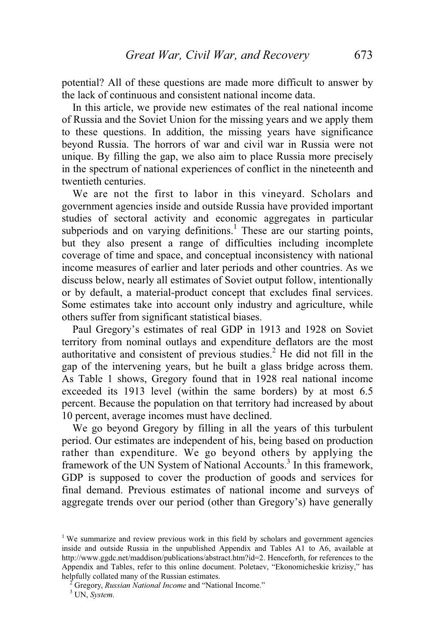potential? All of these questions are made more difficult to answer by the lack of continuous and consistent national income data.

 In this article, we provide new estimates of the real national income of Russia and the Soviet Union for the missing years and we apply them to these questions. In addition, the missing years have significance beyond Russia. The horrors of war and civil war in Russia were not unique. By filling the gap, we also aim to place Russia more precisely in the spectrum of national experiences of conflict in the nineteenth and twentieth centuries.

 We are not the first to labor in this vineyard. Scholars and government agencies inside and outside Russia have provided important studies of sectoral activity and economic aggregates in particular subperiods and on varying definitions.<sup>1</sup> These are our starting points, but they also present a range of difficulties including incomplete coverage of time and space, and conceptual inconsistency with national income measures of earlier and later periods and other countries. As we discuss below, nearly all estimates of Soviet output follow, intentionally or by default, a material-product concept that excludes final services. Some estimates take into account only industry and agriculture, while others suffer from significant statistical biases.

 Paul Gregory's estimates of real GDP in 1913 and 1928 on Soviet territory from nominal outlays and expenditure deflators are the most authoritative and consistent of previous studies.<sup>2</sup> He did not fill in the gap of the intervening years, but he built a glass bridge across them. As Table 1 shows, Gregory found that in 1928 real national income exceeded its 1913 level (within the same borders) by at most 6.5 percent. Because the population on that territory had increased by about 10 percent, average incomes must have declined.

 We go beyond Gregory by filling in all the years of this turbulent period. Our estimates are independent of his, being based on production rather than expenditure. We go beyond others by applying the framework of the UN System of National Accounts.<sup>3</sup> In this framework, GDP is supposed to cover the production of goods and services for final demand. Previous estimates of national income and surveys of aggregate trends over our period (other than Gregory's) have generally

<sup>&</sup>lt;sup>1</sup> We summarize and review previous work in this field by scholars and government agencies inside and outside Russia in the unpublished Appendix and Tables A1 to A6, available at http://www.ggdc.net/maddison/publications/abstract.htm?id=2. Henceforth, for references to the Appendix and Tables, refer to this online document. Poletaev, "Ekonomicheskie krizisy," has helpfully collated many of the Russian estimates.

Gregory, *Russian National Income* and "National Income." 3 UN, *System*.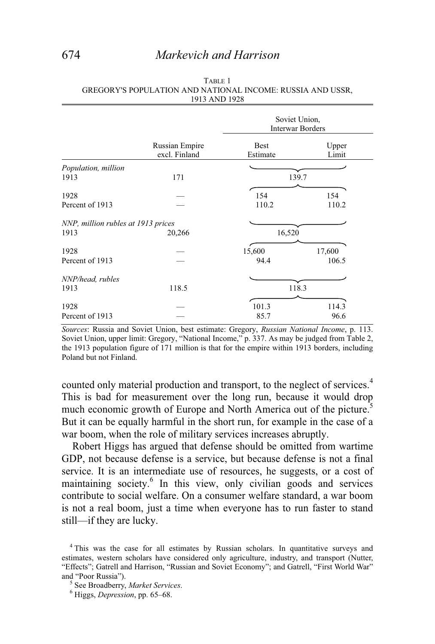## 674 *Markevich and Harrison*

|                                    |                                 | Soviet Union,<br><b>Interwar Borders</b> |                |  |  |
|------------------------------------|---------------------------------|------------------------------------------|----------------|--|--|
|                                    | Russian Empire<br>excl. Finland | <b>Best</b><br>Estimate                  | Upper<br>Limit |  |  |
| Population, million                |                                 |                                          |                |  |  |
| 1913                               | 171                             |                                          | 139.7          |  |  |
| 1928                               |                                 | 154                                      | 154            |  |  |
| Percent of 1913                    |                                 | 110.2                                    | 110.2          |  |  |
| NNP, million rubles at 1913 prices |                                 |                                          |                |  |  |
| 1913                               | 20,266                          | 16,520                                   |                |  |  |
| 1928                               |                                 | 15,600                                   | 17,600         |  |  |
| Percent of 1913                    |                                 | 94.4                                     | 106.5          |  |  |
| NNP/head, rubles                   |                                 |                                          |                |  |  |
| 1913                               | 118.5                           | 118.3                                    |                |  |  |
| 1928                               |                                 | 101.3                                    | 114.3          |  |  |
| Percent of 1913                    |                                 | 85.7                                     | 96.6           |  |  |

| TABLE 1                                                    |
|------------------------------------------------------------|
| GREGORY'S POPULATION AND NATIONAL INCOME: RUSSIA AND USSR, |
| 1913 AND 1928                                              |

*Sources*: Russia and Soviet Union, best estimate: Gregory, *Russian National Income*, p. 113. Soviet Union, upper limit: Gregory, "National Income," p. 337. As may be judged from Table 2, the 1913 population figure of 171 million is that for the empire within 1913 borders, including Poland but not Finland.

counted only material production and transport, to the neglect of services.<sup>4</sup> This is bad for measurement over the long run, because it would drop much economic growth of Europe and North America out of the picture.<sup>5</sup> But it can be equally harmful in the short run, for example in the case of a war boom, when the role of military services increases abruptly.

 Robert Higgs has argued that defense should be omitted from wartime GDP, not because defense is a service, but because defense is not a final service. It is an intermediate use of resources, he suggests, or a cost of maintaining society.<sup>6</sup> In this view, only civilian goods and services contribute to social welfare. On a consumer welfare standard, a war boom is not a real boom, just a time when everyone has to run faster to stand still—if they are lucky.

<sup>&</sup>lt;sup>4</sup> This was the case for all estimates by Russian scholars. In quantitative surveys and estimates, western scholars have considered only agriculture, industry, and transport (Nutter, "Effects"; Gatrell and Harrison, "Russian and Soviet Economy"; and Gatrell, "First World War" and "Poor Russia").

<sup>&</sup>lt;sup>5</sup> See Broadberry, *Market Services*.

Higgs, *Depression*, pp. 65–68.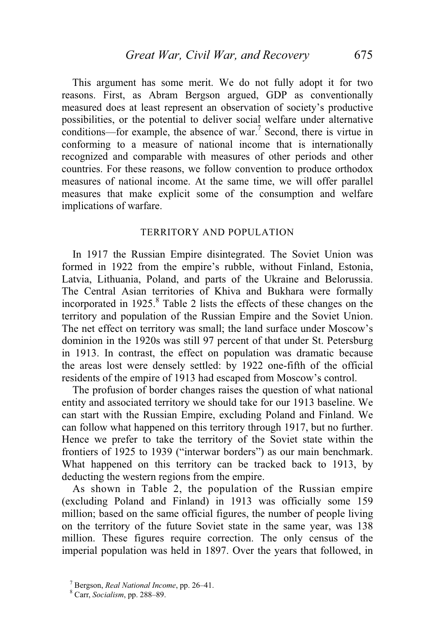This argument has some merit. We do not fully adopt it for two reasons. First, as Abram Bergson argued, GDP as conventionally measured does at least represent an observation of society's productive possibilities, or the potential to deliver social welfare under alternative conditions—for example, the absence of war.<sup>7</sup> Second, there is virtue in conforming to a measure of national income that is internationally recognized and comparable with measures of other periods and other countries. For these reasons, we follow convention to produce orthodox measures of national income. At the same time, we will offer parallel measures that make explicit some of the consumption and welfare implications of warfare.

#### TERRITORY AND POPULATION

 In 1917 the Russian Empire disintegrated. The Soviet Union was formed in 1922 from the empire's rubble, without Finland, Estonia, Latvia, Lithuania, Poland, and parts of the Ukraine and Belorussia. The Central Asian territories of Khiva and Bukhara were formally incorporated in  $1925$ .<sup>8</sup> Table 2 lists the effects of these changes on the territory and population of the Russian Empire and the Soviet Union. The net effect on territory was small; the land surface under Moscow's dominion in the 1920s was still 97 percent of that under St. Petersburg in 1913. In contrast, the effect on population was dramatic because the areas lost were densely settled: by 1922 one-fifth of the official residents of the empire of 1913 had escaped from Moscow's control.

 The profusion of border changes raises the question of what national entity and associated territory we should take for our 1913 baseline. We can start with the Russian Empire, excluding Poland and Finland. We can follow what happened on this territory through 1917, but no further. Hence we prefer to take the territory of the Soviet state within the frontiers of 1925 to 1939 ("interwar borders") as our main benchmark. What happened on this territory can be tracked back to 1913, by deducting the western regions from the empire.

 As shown in Table 2, the population of the Russian empire (excluding Poland and Finland) in 1913 was officially some 159 million; based on the same official figures, the number of people living on the territory of the future Soviet state in the same year, was 138 million. These figures require correction. The only census of the imperial population was held in 1897. Over the years that followed, in

<sup>&</sup>lt;sup>7</sup> Bergson, *Real National Income*, pp. 26–41.

Carr, *Socialism*, pp. 288–89.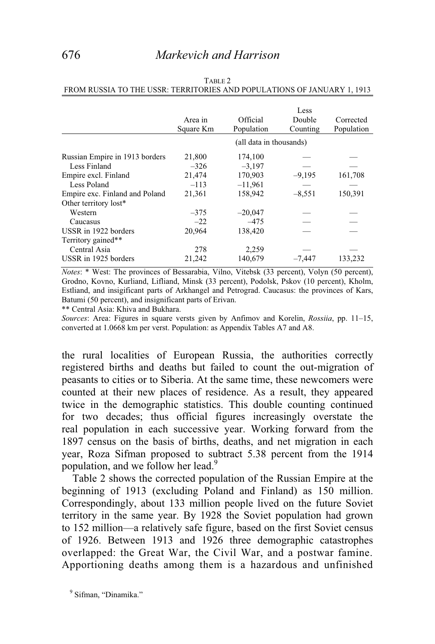|                                | Area in<br>Square Km | Official<br>Population  | Less<br>Double<br>Counting | Corrected<br>Population |
|--------------------------------|----------------------|-------------------------|----------------------------|-------------------------|
|                                |                      | (all data in thousands) |                            |                         |
| Russian Empire in 1913 borders | 21,800               | 174,100                 |                            |                         |
| Less Finland                   | $-326$               | $-3,197$                |                            |                         |
| Empire excl. Finland           | 21,474               | 170,903                 | $-9,195$                   | 161,708                 |
| Less Poland                    | $-113$               | $-11,961$               |                            |                         |
| Empire exc. Finland and Poland | 21,361               | 158,942                 | $-8,551$                   | 150,391                 |
| Other territory lost*          |                      |                         |                            |                         |
| Western                        | $-375$               | $-20,047$               |                            |                         |
| Caucasus                       | $-22$                | $-475$                  |                            |                         |
| USSR in 1922 borders           | 20,964               | 138,420                 |                            |                         |
| Territory gained**             |                      |                         |                            |                         |
| Central Asia                   | 278                  | 2,259                   |                            |                         |
| USSR in 1925 borders           | 21,242               | 140,679                 | $-7,447$                   | 133,232                 |

|                                                                         | TABLE 2 |  |
|-------------------------------------------------------------------------|---------|--|
| FROM RUSSIA TO THE USSR: TERRITORIES AND POPULATIONS OF JANUARY 1, 1913 |         |  |

*Notes*: \* West: The provinces of Bessarabia, Vilno, Vitebsk (33 percent), Volyn (50 percent), Grodno, Kovno, Kurliand, Lifliand, Minsk (33 percent), Podolsk, Pskov (10 percent), Kholm, Estliand, and insigificant parts of Arkhangel and Petrograd. Caucasus: the provinces of Kars, Batumi (50 percent), and insignificant parts of Erivan.

\*\* Central Asia: Khiva and Bukhara.

*Sources*: Area: Figures in square versts given by Anfimov and Korelin, *Rossiia*, pp. 11–15, converted at 1.0668 km per verst. Population: as Appendix Tables A7 and A8.

the rural localities of European Russia, the authorities correctly registered births and deaths but failed to count the out-migration of peasants to cities or to Siberia. At the same time, these newcomers were counted at their new places of residence. As a result, they appeared twice in the demographic statistics. This double counting continued for two decades; thus official figures increasingly overstate the real population in each successive year. Working forward from the 1897 census on the basis of births, deaths, and net migration in each year, Roza Sifman proposed to subtract 5.38 percent from the 1914 population, and we follow her lead.<sup>9</sup>

 Table 2 shows the corrected population of the Russian Empire at the beginning of 1913 (excluding Poland and Finland) as 150 million. Correspondingly, about 133 million people lived on the future Soviet territory in the same year. By 1928 the Soviet population had grown to 152 million—a relatively safe figure, based on the first Soviet census of 1926. Between 1913 and 1926 three demographic catastrophes overlapped: the Great War, the Civil War, and a postwar famine. Apportioning deaths among them is a hazardous and unfinished

<sup>&</sup>lt;sup>9</sup> Sifman, "Dinamika."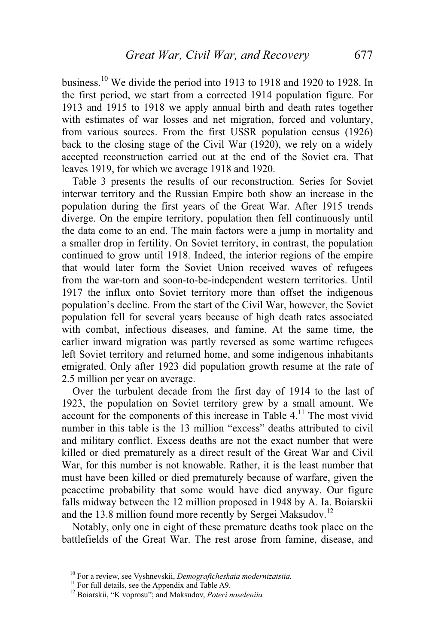business.10 We divide the period into 1913 to 1918 and 1920 to 1928. In the first period, we start from a corrected 1914 population figure. For 1913 and 1915 to 1918 we apply annual birth and death rates together with estimates of war losses and net migration, forced and voluntary, from various sources. From the first USSR population census (1926) back to the closing stage of the Civil War (1920), we rely on a widely accepted reconstruction carried out at the end of the Soviet era. That leaves 1919, for which we average 1918 and 1920.

 Table 3 presents the results of our reconstruction. Series for Soviet interwar territory and the Russian Empire both show an increase in the population during the first years of the Great War. After 1915 trends diverge. On the empire territory, population then fell continuously until the data come to an end. The main factors were a jump in mortality and a smaller drop in fertility. On Soviet territory, in contrast, the population continued to grow until 1918. Indeed, the interior regions of the empire that would later form the Soviet Union received waves of refugees from the war-torn and soon-to-be-independent western territories. Until 1917 the influx onto Soviet territory more than offset the indigenous population's decline. From the start of the Civil War, however, the Soviet population fell for several years because of high death rates associated with combat, infectious diseases, and famine. At the same time, the earlier inward migration was partly reversed as some wartime refugees left Soviet territory and returned home, and some indigenous inhabitants emigrated. Only after 1923 did population growth resume at the rate of 2.5 million per year on average.

 Over the turbulent decade from the first day of 1914 to the last of 1923, the population on Soviet territory grew by a small amount. We account for the components of this increase in Table  $4<sup>11</sup>$ . The most vivid number in this table is the 13 million "excess" deaths attributed to civil and military conflict. Excess deaths are not the exact number that were killed or died prematurely as a direct result of the Great War and Civil War, for this number is not knowable. Rather, it is the least number that must have been killed or died prematurely because of warfare, given the peacetime probability that some would have died anyway. Our figure falls midway between the 12 million proposed in 1948 by A. Ia. Boiarskii and the 13.8 million found more recently by Sergei Maksudov.<sup>12</sup>

 Notably, only one in eight of these premature deaths took place on the battlefields of the Great War. The rest arose from famine, disease, and

<sup>&</sup>lt;sup>10</sup> For a review, see Vyshnevskii, *Demograficheskaia modernizatsiia*.<br><sup>11</sup> For full details, see the Appendix and Table A9.

<sup>12</sup> Boiarskii, "K voprosu"; and Maksudov, *Poteri naseleniia.*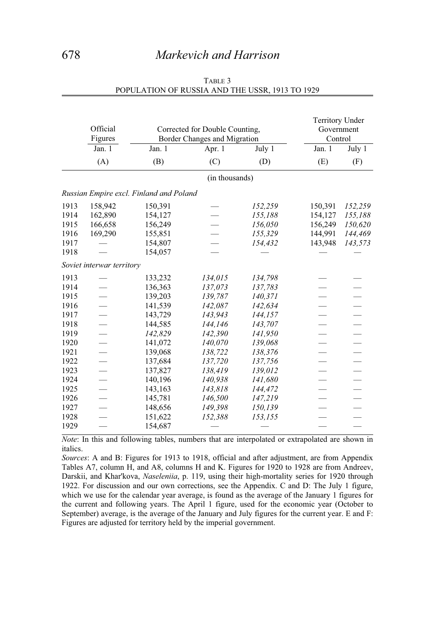## 678 *Markevich and Harrison*

|      | Official<br>Figures       | Corrected for Double Counting,<br>Border Changes and Migration |                | <b>Territory Under</b><br>Government<br>Control |         |                          |
|------|---------------------------|----------------------------------------------------------------|----------------|-------------------------------------------------|---------|--------------------------|
|      | Jan. 1                    | Jan. 1<br>Apr. 1<br>July 1                                     |                |                                                 | Jan. 1  | July 1                   |
|      | (A)                       | (B)                                                            | (C)            | (D)                                             | (E)     | (F)                      |
|      |                           |                                                                | (in thousands) |                                                 |         |                          |
|      |                           | Russian Empire excl. Finland and Poland                        |                |                                                 |         |                          |
| 1913 | 158,942                   | 150,391                                                        |                | 152,259                                         | 150,391 | 152,259                  |
| 1914 | 162,890                   | 154,127                                                        |                | 155,188                                         | 154,127 | 155,188                  |
| 1915 | 166,658                   | 156,249                                                        |                | 156,050                                         | 156,249 | 150,620                  |
| 1916 | 169,290                   | 155,851                                                        |                | 155,329                                         | 144,991 | 144,469                  |
| 1917 |                           | 154,807                                                        |                | 154,432                                         | 143,948 | 143,573                  |
| 1918 |                           | 154,057                                                        |                |                                                 |         |                          |
|      | Soviet interwar territory |                                                                |                |                                                 |         |                          |
| 1913 |                           | 133,232                                                        | 134,015        | 134,798                                         |         |                          |
| 1914 |                           | 136,363                                                        | 137,073        | 137,783                                         |         |                          |
| 1915 |                           | 139,203                                                        | 139,787        | 140,371                                         |         |                          |
| 1916 |                           | 141,539                                                        | 142,087        | 142,634                                         |         |                          |
| 1917 |                           | 143,729                                                        | 143,943        | 144,157                                         |         |                          |
| 1918 |                           | 144,585                                                        | 144,146        | 143,707                                         |         |                          |
| 1919 | $\equiv$                  | 142,829                                                        | 142,390        | 141,950                                         |         | $\qquad \qquad$          |
| 1920 | $\overline{\phantom{0}}$  | 141,072                                                        | 140,070        | 139,068                                         |         | $\overline{\phantom{0}}$ |
| 1921 | $\equiv$                  | 139,068                                                        | 138,722        | 138,376                                         |         |                          |
| 1922 | $\overline{\phantom{0}}$  | 137,684                                                        | 137,720        | 137,756                                         |         | $\overline{\phantom{0}}$ |
| 1923 |                           | 137,827                                                        | 138,419        | 139,012                                         |         |                          |
| 1924 |                           | 140,196                                                        | 140,938        | 141,680                                         |         |                          |
| 1925 |                           | 143,163                                                        | 143,818        | 144,472                                         |         |                          |
| 1926 |                           | 145,781                                                        | 146,500        | 147,219                                         |         |                          |
| 1927 | $\qquad \qquad$           | 148,656                                                        | 149,398        | 150,139                                         |         |                          |
| 1928 |                           | 151,622                                                        | 152,388        | 153,155                                         |         |                          |
| 1929 |                           | 154,687                                                        |                |                                                 |         |                          |

#### TABLE 3 POPULATION OF RUSSIA AND THE USSR, 1913 TO 1929

*Note*: In this and following tables, numbers that are interpolated or extrapolated are shown in italics.

*Sources*: A and B: Figures for 1913 to 1918, official and after adjustment, are from Appendix Tables A7, column H, and A8, columns H and K. Figures for 1920 to 1928 are from Andreev, Darskii, and Khar'kova, *Naseleniia*, p. 119, using their high-mortality series for 1920 through 1922. For discussion and our own corrections, see the Appendix. C and D: The July 1 figure, which we use for the calendar year average, is found as the average of the January 1 figures for the current and following years. The April 1 figure, used for the economic year (October to September) average, is the average of the January and July figures for the current year. E and F: Figures are adjusted for territory held by the imperial government.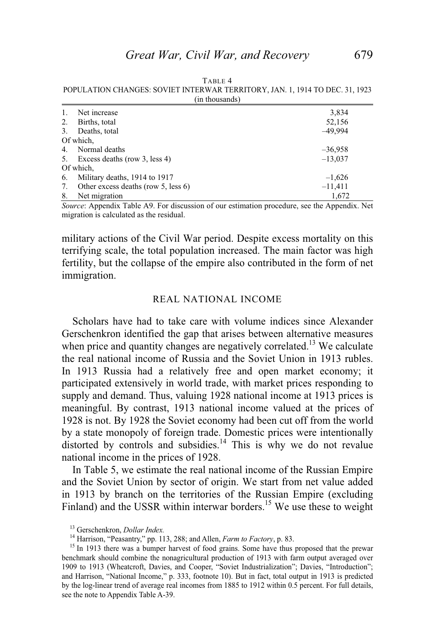TABLE 4 POPULATION CHANGES: SOVIET INTERWAR TERRITORY, JAN. 1, 1914 TO DEC. 31, 1923 (in thousands)

| -1. | Net increase                        | 3,834     |
|-----|-------------------------------------|-----------|
| 2.  | Births, total                       | 52,156    |
| 3.  | Deaths, total                       | $-49,994$ |
|     | Of which,                           |           |
|     | 4. Normal deaths                    | $-36,958$ |
|     | 5. Excess deaths (row 3, less 4)    | $-13,037$ |
|     | Of which,                           |           |
| 6.  | Military deaths, 1914 to 1917       | $-1,626$  |
| 7.  | Other excess deaths (row 5, less 6) | $-11,411$ |
| 8.  | Net migration                       | 1.672     |

*Source*: Appendix Table A9. For discussion of our estimation procedure, see the Appendix. Net migration is calculated as the residual.

military actions of the Civil War period. Despite excess mortality on this terrifying scale, the total population increased. The main factor was high fertility, but the collapse of the empire also contributed in the form of net immigration.

#### REAL NATIONAL INCOME

 Scholars have had to take care with volume indices since Alexander Gerschenkron identified the gap that arises between alternative measures when price and quantity changes are negatively correlated.<sup>13</sup> We calculate the real national income of Russia and the Soviet Union in 1913 rubles. In 1913 Russia had a relatively free and open market economy; it participated extensively in world trade, with market prices responding to supply and demand. Thus, valuing 1928 national income at 1913 prices is meaningful. By contrast, 1913 national income valued at the prices of 1928 is not. By 1928 the Soviet economy had been cut off from the world by a state monopoly of foreign trade. Domestic prices were intentionally distorted by controls and subsidies. $14$  This is why we do not revalue national income in the prices of 1928.

 In Table 5, we estimate the real national income of the Russian Empire and the Soviet Union by sector of origin. We start from net value added in 1913 by branch on the territories of the Russian Empire (excluding Finland) and the USSR within interwar borders.<sup>15</sup> We use these to weight

<sup>&</sup>lt;sup>13</sup> Gerschenkron, *Dollar Index.* 14 Harrison, "Peasantry," pp. 113, 288; and Allen, *Farm to Factory*, p. 83. 15 In 1913 there was a bumper harvest of food grains. Some have thus proposed that the prewar benchmark should combine the nonagricultural production of 1913 with farm output averaged over 1909 to 1913 (Wheatcroft, Davies, and Cooper, "Soviet Industrialization"; Davies, "Introduction"; and Harrison, "National Income," p. 333, footnote 10). But in fact, total output in 1913 is predicted by the log-linear trend of average real incomes from 1885 to 1912 within 0.5 percent. For full details, see the note to Appendix Table A-39.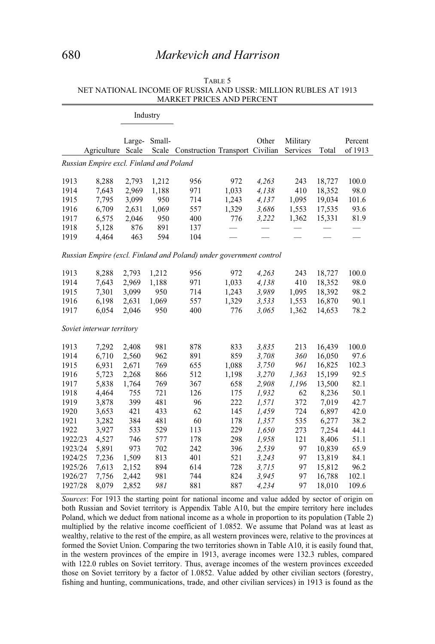## 680 *Markevich and Harrison*

|              |                                         |                | Industry   |                                                                    |              |                |                      |                  |                    |
|--------------|-----------------------------------------|----------------|------------|--------------------------------------------------------------------|--------------|----------------|----------------------|------------------|--------------------|
|              | Agriculture Scale                       | Large-         | Small-     | Scale Construction Transport Civilian                              |              | Other          | Military<br>Services | Total            | Percent<br>of 1913 |
|              | Russian Empire excl. Finland and Poland |                |            |                                                                    |              |                |                      |                  |                    |
|              |                                         |                |            |                                                                    |              |                |                      |                  |                    |
| 1913         | 8,288                                   | 2,793          | 1,212      | 956                                                                | 972          | 4,263          | 243                  | 18,727           | 100.0              |
| 1914         | 7,643                                   | 2,969          | 1,188      | 971                                                                | 1,033        | 4,138          | 410                  | 18,352           | 98.0               |
| 1915         | 7,795                                   | 3,099          | 950        | 714                                                                | 1,243        | 4,137          | 1,095                | 19,034           | 101.6              |
| 1916         | 6,709                                   | 2,631          | 1,069      | 557                                                                | 1,329        | 3,686          | 1,553                | 17,535           | 93.6               |
| 1917         | 6,575                                   | 2,046          | 950        | 400                                                                | 776          | 3,222          | 1,362                | 15,331           | 81.9               |
| 1918         | 5,128                                   | 876            | 891        | 137                                                                |              |                |                      |                  |                    |
| 1919         | 4,464                                   | 463            | 594        | 104                                                                |              |                |                      |                  |                    |
|              |                                         |                |            | Russian Empire (excl. Finland and Poland) under government control |              |                |                      |                  |                    |
| 1913         | 8,288                                   | 2,793          | 1,212      | 956                                                                | 972          | 4,263          | 243                  | 18,727           | 100.0              |
| 1914         | 7,643                                   | 2,969          | 1,188      | 971                                                                | 1,033        | 4.138          | 410                  | 18,352           | 98.0               |
| 1915         | 7,301                                   | 3,099          | 950        | 714                                                                | 1,243        | 3,989          | 1,095                | 18,392           | 98.2               |
| 1916         | 6,198                                   | 2,631          | 1,069      | 557                                                                | 1,329        | 3,533          | 1,553                | 16,870           | 90.1               |
| 1917         | 6,054                                   | 2,046          | 950        | 400                                                                | 776          | 3,065          | 1,362                | 14,653           | 78.2               |
|              | Soviet interwar territory               |                |            |                                                                    |              |                |                      |                  |                    |
|              |                                         |                |            |                                                                    |              |                |                      |                  |                    |
| 1913         | 7,292                                   | 2,408          | 981        | 878                                                                | 833          | 3,835          | 213                  | 16,439           | 100.0              |
| 1914         | 6,710                                   | 2,560          | 962        | 891                                                                | 859          | 3,708          | 360                  | 16,050           | 97.6               |
| 1915<br>1916 | 6,931                                   | 2,671          | 769        | 655                                                                | 1,088        | 3,750          | 961                  | 16,825           | 102.3              |
| 1917         | 5,723<br>5,838                          | 2,268<br>1,764 | 866<br>769 | 512<br>367                                                         | 1,198<br>658 | 3,270<br>2,908 | 1,363<br>1,196       | 15,199<br>13,500 | 92.5<br>82.1       |
| 1918         | 4,464                                   | 755            | 721        | 126                                                                | 175          | 1,932          | 62                   | 8,236            | 50.1               |
| 1919         | 3,878                                   | 399            | 481        | 96                                                                 | 222          | 1,571          | 372                  | 7,019            | 42.7               |
| 1920         | 3,653                                   | 421            | 433        | 62                                                                 | 145          | 1,459          | 724                  | 6,897            | 42.0               |
| 1921         | 3,282                                   | 384            | 481        | 60                                                                 | 178          | 1,357          | 535                  | 6,277            | 38.2               |
| 1922         | 3,927                                   | 533            | 529        | 113                                                                | 229          | 1,650          | 273                  | 7,254            | 44.1               |
| 1922/23      | 4,527                                   | 746            | 577        | 178                                                                | 298          | 1,958          | 121                  | 8,406            | 51.1               |
| 1923/24      | 5,891                                   | 973            | 702        | 242                                                                | 396          | 2,539          | 97                   | 10,839           | 65.9               |
| 1924/25      | 7,236                                   | 1,509          | 813        | 401                                                                | 521          | 3,243          | 97                   | 13,819           | 84.1               |
| 1925/26      | 7,613                                   | 2,152          | 894        | 614                                                                | 728          | 3,715          | 97                   | 15,812           | 96.2               |
| 1926/27      | 7,756                                   | 2,442          | 981        | 744                                                                | 824          | 3,945          | 97                   | 16,788           | 102.1              |
| 1927/28      | 8,079                                   | 2,852          | 981        | 881                                                                | 887          | 4,234          | 97                   | 18,010           | 109.6              |

#### TABLE 5 NET NATIONAL INCOME OF RUSSIA AND USSR: MILLION RUBLES AT 1913 MARKET PRICES AND PERCENT

*Sources*: For 1913 the starting point for national income and value added by sector of origin on both Russian and Soviet territory is Appendix Table A10, but the empire territory here includes Poland, which we deduct from national income as a whole in proportion to its population (Table 2) multiplied by the relative income coefficient of 1.0852. We assume that Poland was at least as wealthy, relative to the rest of the empire, as all western provinces were, relative to the provinces at formed the Soviet Union. Comparing the two territories shown in Table A10, it is easily found that, in the western provinces of the empire in 1913, average incomes were 132.3 rubles, compared with 122.0 rubles on Soviet territory. Thus, average incomes of the western provinces exceeded those on Soviet territory by a factor of 1.0852. Value added by other civilian sectors (forestry, fishing and hunting, communications, trade, and other civilian services) in 1913 is found as the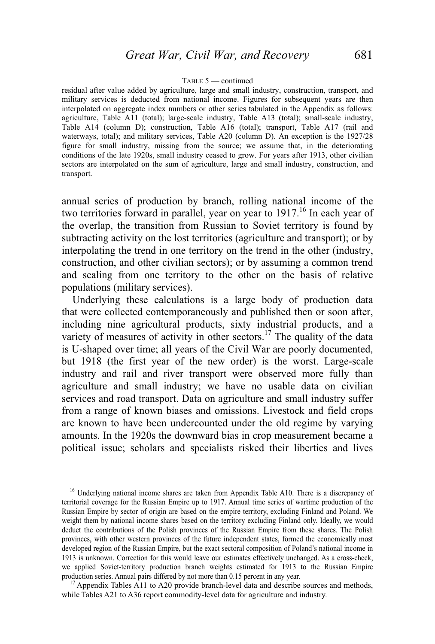#### TABLE 5 — continued

residual after value added by agriculture, large and small industry, construction, transport, and military services is deducted from national income. Figures for subsequent years are then interpolated on aggregate index numbers or other series tabulated in the Appendix as follows: agriculture, Table A11 (total); large-scale industry, Table A13 (total); small-scale industry, Table A14 (column D); construction, Table A16 (total); transport, Table A17 (rail and waterways, total); and military services, Table A20 (column D). An exception is the 1927/28 figure for small industry, missing from the source; we assume that, in the deteriorating conditions of the late 1920s, small industry ceased to grow. For years after 1913, other civilian sectors are interpolated on the sum of agriculture, large and small industry, construction, and transport.

annual series of production by branch, rolling national income of the two territories forward in parallel, year on year to  $1917$ <sup>16</sup>. In each year of the overlap, the transition from Russian to Soviet territory is found by subtracting activity on the lost territories (agriculture and transport); or by interpolating the trend in one territory on the trend in the other (industry, construction, and other civilian sectors); or by assuming a common trend and scaling from one territory to the other on the basis of relative populations (military services).

 Underlying these calculations is a large body of production data that were collected contemporaneously and published then or soon after, including nine agricultural products, sixty industrial products, and a variety of measures of activity in other sectors.<sup>17</sup> The quality of the data is U-shaped over time; all years of the Civil War are poorly documented, but 1918 (the first year of the new order) is the worst. Large-scale industry and rail and river transport were observed more fully than agriculture and small industry; we have no usable data on civilian services and road transport. Data on agriculture and small industry suffer from a range of known biases and omissions. Livestock and field crops are known to have been undercounted under the old regime by varying amounts. In the 1920s the downward bias in crop measurement became a political issue; scholars and specialists risked their liberties and lives

while Tables A21 to A36 report commodity-level data for agriculture and industry.

<sup>&</sup>lt;sup>16</sup> Underlying national income shares are taken from Appendix Table A10. There is a discrepancy of territorial coverage for the Russian Empire up to 1917. Annual time series of wartime production of the Russian Empire by sector of origin are based on the empire territory, excluding Finland and Poland. We weight them by national income shares based on the territory excluding Finland only. Ideally, we would deduct the contributions of the Polish provinces of the Russian Empire from these shares. The Polish provinces, with other western provinces of the future independent states, formed the economically most developed region of the Russian Empire, but the exact sectoral composition of Poland's national income in 1913 is unknown. Correction for this would leave our estimates effectively unchanged. As a cross-check, we applied Soviet-territory production branch weights estimated for 1913 to the Russian Empire production series. Annual pairs differed by not more than 0.15 percent in any year.<br><sup>17</sup> Appendix Tables A11 to A20 provide branch-level data and describe sources and methods,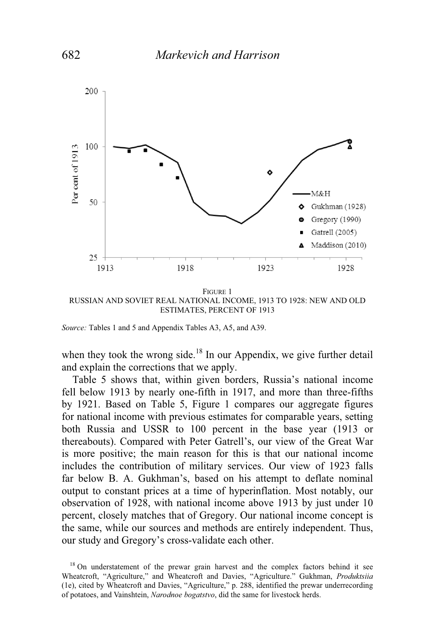

FIGURE 1 RUSSIAN AND SOVIET REAL NATIONAL INCOME, 1913 TO 1928: NEW AND OLD ESTIMATES, PERCENT OF 1913

*Source:* Tables 1 and 5 and Appendix Tables A3, A5, and A39.

when they took the wrong side.<sup>18</sup> In our Appendix, we give further detail and explain the corrections that we apply.

Table 5 shows that, within given borders, Russia's national income fell below 1913 by nearly one-fifth in 1917, and more than three-fifths by 1921. Based on Table 5, Figure 1 compares our aggregate figures for national income with previous estimates for comparable years, setting both Russia and USSR to 100 percent in the base year (1913 or thereabouts). Compared with Peter Gatrell's, our view of the Great War is more positive; the main reason for this is that our national income includes the contribution of military services. Our view of 1923 falls far below B. A. Gukhman's, based on his attempt to deflate nominal output to constant prices at a time of hyperinflation. Most notably, our observation of 1928, with national income above 1913 by just under 10 percent, closely matches that of Gregory. Our national income concept is the same, while our sources and methods are entirely independent. Thus, our study and Gregory's cross-validate each other.

<sup>&</sup>lt;sup>18</sup> On understatement of the prewar grain harvest and the complex factors behind it see Wheatcroft, "Agriculture," and Wheatcroft and Davies, "Agriculture." Gukhman, *Produktsiia* (1e), cited by Wheatcroft and Davies, "Agriculture," p. 288, identified the prewar underrecording of potatoes, and Vainshtein, *Narodnoe bogatstvo*, did the same for livestock herds.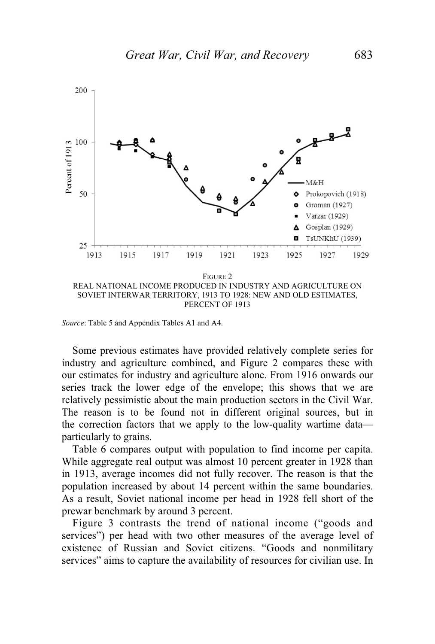

PERCENT OF 1913

*Source*: Table 5 and Appendix Tables A1 and A4.

 Some previous estimates have provided relatively complete series for industry and agriculture combined, and Figure 2 compares these with our estimates for industry and agriculture alone. From 1916 onwards our series track the lower edge of the envelope; this shows that we are relatively pessimistic about the main production sectors in the Civil War. The reason is to be found not in different original sources, but in the correction factors that we apply to the low-quality wartime data particularly to grains.

 Table 6 compares output with population to find income per capita. While aggregate real output was almost 10 percent greater in 1928 than in 1913, average incomes did not fully recover. The reason is that the population increased by about 14 percent within the same boundaries. As a result, Soviet national income per head in 1928 fell short of the prewar benchmark by around 3 percent.

 Figure 3 contrasts the trend of national income ("goods and services") per head with two other measures of the average level of existence of Russian and Soviet citizens. "Goods and nonmilitary services" aims to capture the availability of resources for civilian use. In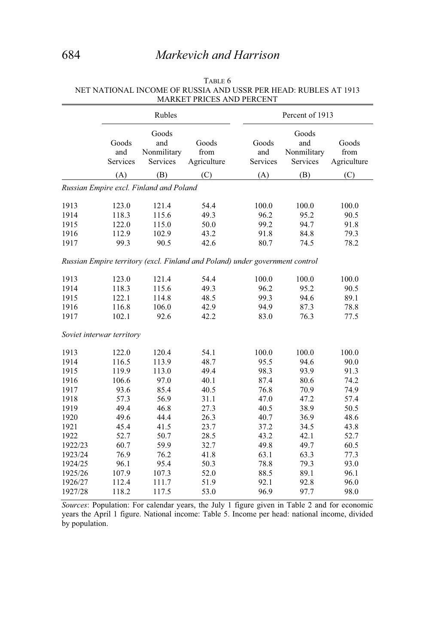# 684 *Markevich and Harrison*

|              |                           | Rubles                                  |                                                                              | Percent of 1913          |                                         |                              |  |
|--------------|---------------------------|-----------------------------------------|------------------------------------------------------------------------------|--------------------------|-----------------------------------------|------------------------------|--|
|              | Goods<br>and<br>Services  | Goods<br>and<br>Nonmilitary<br>Services | Goods<br>from<br>Agriculture                                                 | Goods<br>and<br>Services | Goods<br>and<br>Nonmilitary<br>Services | Goods<br>from<br>Agriculture |  |
|              | (A)                       | (B)                                     | (C)                                                                          | (A)                      | (B)                                     | (C)                          |  |
|              |                           | Russian Empire excl. Finland and Poland |                                                                              |                          |                                         |                              |  |
| 1913<br>1914 | 123.0<br>118.3            | 121.4<br>115.6                          | 54.4<br>49.3                                                                 | 100.0<br>96.2            | 100.0<br>95.2                           | 100.0<br>90.5                |  |
| 1915<br>1916 | 122.0<br>112.9            | 115.0<br>102.9                          | 50.0<br>43.2                                                                 | 99.2<br>91.8             | 94.7<br>84.8                            | 91.8<br>79.3                 |  |
| 1917         | 99.3                      | 90.5                                    | 42.6                                                                         | 80.7                     | 74.5                                    | 78.2                         |  |
|              |                           |                                         | Russian Empire territory (excl. Finland and Poland) under government control |                          |                                         |                              |  |
| 1913         | 123.0                     | 121.4                                   | 54.4                                                                         | 100.0                    | 100.0                                   | 100.0                        |  |
| 1914         | 118.3                     | 115.6                                   | 49.3                                                                         | 96.2                     | 95.2                                    | 90.5                         |  |
| 1915         | 122.1                     | 114.8                                   | 48.5                                                                         | 99.3                     | 94.6                                    | 89.1                         |  |
| 1916         | 116.8                     | 106.0                                   | 42.9                                                                         | 94.9                     | 87.3                                    | 78.8                         |  |
| 1917         | 102.1                     | 92.6                                    | 42.2                                                                         | 83.0                     | 76.3                                    | 77.5                         |  |
|              | Soviet interwar territory |                                         |                                                                              |                          |                                         |                              |  |
| 1913         | 122.0                     | 120.4                                   | 54.1                                                                         | 100.0                    | 100.0                                   | 100.0                        |  |
| 1914         | 116.5                     | 113.9                                   | 48.7                                                                         | 95.5                     | 94.6                                    | 90.0                         |  |
| 1915         | 119.9                     | 113.0                                   | 49.4                                                                         | 98.3                     | 93.9                                    | 91.3                         |  |
| 1916         | 106.6                     | 97.0                                    | 40.1                                                                         | 87.4                     | 80.6                                    | 74.2                         |  |
| 1917         | 93.6                      | 85.4                                    | 40.5                                                                         | 76.8                     | 70.9                                    | 74.9                         |  |
| 1918         | 57.3                      | 56.9                                    | 31.1                                                                         | 47.0                     | 47.2                                    | 57.4                         |  |
| 1919         | 49.4                      | 46.8                                    | 27.3                                                                         | 40.5                     | 38.9                                    | 50.5                         |  |
| 1920         | 49.6                      | 44.4                                    | 26.3                                                                         | 40.7                     | 36.9                                    | 48.6                         |  |
| 1921         | 45.4                      | 41.5                                    | 23.7                                                                         | 37.2                     | 34.5                                    | 43.8                         |  |
| 1922         | 52.7                      | 50.7                                    | 28.5                                                                         | 43.2                     | 42.1                                    | 52.7                         |  |
| 1922/23      | 60.7                      | 59.9                                    | 32.7                                                                         | 49.8                     | 49.7                                    | 60.5                         |  |
| 1923/24      | 76.9                      | 76.2                                    | 41.8                                                                         | 63.1                     | 63.3                                    | 77.3                         |  |
| 1924/25      | 96.1                      | 95.4                                    | 50.3                                                                         | 78.8                     | 79.3                                    | 93.0                         |  |
| 1925/26      | 107.9                     | 107.3                                   | 52.0                                                                         | 88.5                     | 89.1                                    | 96.1                         |  |
| 1926/27      | 112.4                     | 111.7                                   | 51.9                                                                         | 92.1                     | 92.8                                    | 96.0                         |  |
| 1927/28      | 118.2                     | 117.5                                   | 53.0                                                                         | 96.9                     | 97.7                                    | 98.0                         |  |

#### TABLE 6 NET NATIONAL INCOME OF RUSSIA AND USSR PER HEAD: RUBLES AT 1913 MARKET PRICES AND PERCENT

*Sources*: Population: For calendar years, the July 1 figure given in Table 2 and for economic years the April 1 figure. National income: Table 5. Income per head: national income, divided by population.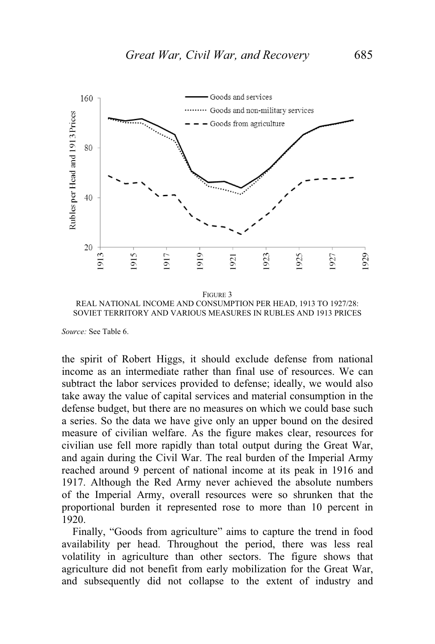

SOVIET TERRITORY AND VARIOUS MEASURES IN RUBLES AND 1913 PRICES

*Source:* See Table 6.

the spirit of Robert Higgs, it should exclude defense from national income as an intermediate rather than final use of resources. We can subtract the labor services provided to defense; ideally, we would also take away the value of capital services and material consumption in the defense budget, but there are no measures on which we could base such a series. So the data we have give only an upper bound on the desired measure of civilian welfare. As the figure makes clear, resources for civilian use fell more rapidly than total output during the Great War, and again during the Civil War. The real burden of the Imperial Army reached around 9 percent of national income at its peak in 1916 and 1917. Although the Red Army never achieved the absolute numbers of the Imperial Army, overall resources were so shrunken that the proportional burden it represented rose to more than 10 percent in 1920.-

Finally, "Goods from agriculture" aims to capture the trend in food availability per head. Throughout the period, there was less real volatility in agriculture than other sectors. The figure shows that agriculture did not benefit from early mobilization for the Great War, and subsequently did not collapse to the extent of industry and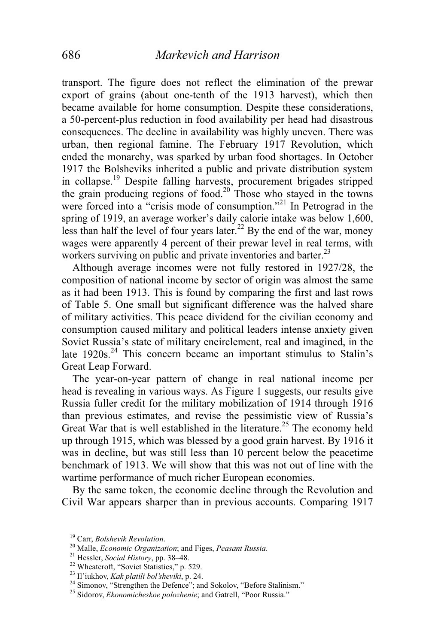transport. The figure does not reflect the elimination of the prewar export of grains (about one-tenth of the 1913 harvest), which then became available for home consumption. Despite these considerations, a 50-percent-plus reduction in food availability per head had disastrous consequences. The decline in availability was highly uneven. There was urban, then regional famine. The February 1917 Revolution, which ended the monarchy, was sparked by urban food shortages. In October 1917 the Bolsheviks inherited a public and private distribution system in collapse.19 Despite falling harvests, procurement brigades stripped the grain producing regions of food.<sup>20</sup> Those who stayed in the towns were forced into a "crisis mode of consumption."<sup>21</sup> In Petrograd in the spring of 1919, an average worker's daily calorie intake was below 1,600, less than half the level of four years later.<sup>22</sup> By the end of the war, money wages were apparently 4 percent of their prewar level in real terms, with workers surviving on public and private inventories and barter.<sup>23</sup>

 Although average incomes were not fully restored in 1927/28, the composition of national income by sector of origin was almost the same as it had been 1913. This is found by comparing the first and last rows of Table 5. One small but significant difference was the halved share of military activities. This peace dividend for the civilian economy and consumption caused military and political leaders intense anxiety given Soviet Russia's state of military encirclement, real and imagined, in the late 1920s.<sup>24</sup> This concern became an important stimulus to Stalin's Great Leap Forward.

 The year-on-year pattern of change in real national income per head is revealing in various ways. As Figure 1 suggests, our results give Russia fuller credit for the military mobilization of 1914 through 1916 than previous estimates, and revise the pessimistic view of Russia's Great War that is well established in the literature.<sup>25</sup> The economy held up through 1915, which was blessed by a good grain harvest. By 1916 it was in decline, but was still less than 10 percent below the peacetime benchmark of 1913. We will show that this was not out of line with the wartime performance of much richer European economies.

 By the same token, the economic decline through the Revolution and Civil War appears sharper than in previous accounts. Comparing 1917

<sup>&</sup>lt;sup>19</sup> Carr, *Bolshevik Revolution*.<br><sup>20</sup> Malle, *Economic Organization*; and Figes, *Peasant Russia*.<br><sup>21</sup> Hessler, *Social History*, pp. 38–48.<br><sup>22</sup> Wheatcroft, "Soviet Statistics," p. 529.<br><sup>23</sup> Il'iukhov, *Kak platili bol* 

<sup>&</sup>lt;sup>24</sup> Simonov, "Strengthen the Defence"; and Sokolov, "Before Stalinism."

<sup>25</sup> Sidorov, *Ekonomicheskoe polozhenie*; and Gatrell, "Poor Russia."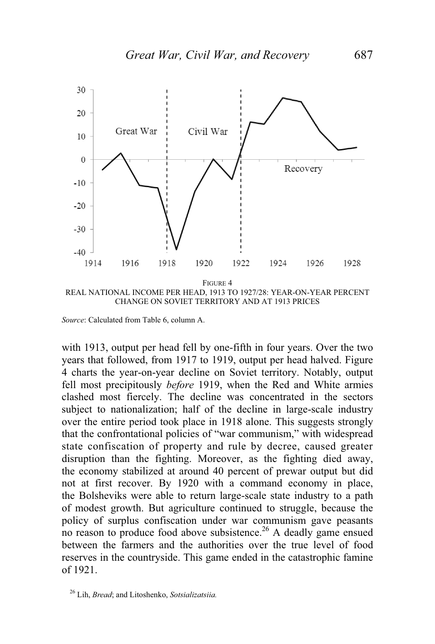

REAL NATIONAL INCOME PER HEAD, 1913 TO 1927/28: YEAR-ON-YEAR PERCENT CHANGE ON SOVIET TERRITORY AND AT 1913 PRICES

*Source*: Calculated from Table 6, column A.

with 1913, output per head fell by one-fifth in four years. Over the two years that followed, from 1917 to 1919, output per head halved. Figure 4 charts the year-on-year decline on Soviet territory. Notably, output fell most precipitously *before* 1919, when the Red and White armies clashed most fiercely. The decline was concentrated in the sectors subject to nationalization; half of the decline in large-scale industry over the entire period took place in 1918 alone. This suggests strongly that the confrontational policies of "war communism," with widespread state confiscation of property and rule by decree, caused greater disruption than the fighting. Moreover, as the fighting died away, the economy stabilized at around 40 percent of prewar output but did not at first recover. By 1920 with a command economy in place, the Bolsheviks were able to return large-scale state industry to a path of modest growth. But agriculture continued to struggle, because the policy of surplus confiscation under war communism gave peasants no reason to produce food above subsistence.<sup>26</sup> A deadly game ensued between the farmers and the authorities over the true level of food reserves in the countryside. This game ended in the catastrophic famine of 1921.

<sup>26</sup> Lih, *Bread*; and Litoshenko, *Sotsializatsiia.*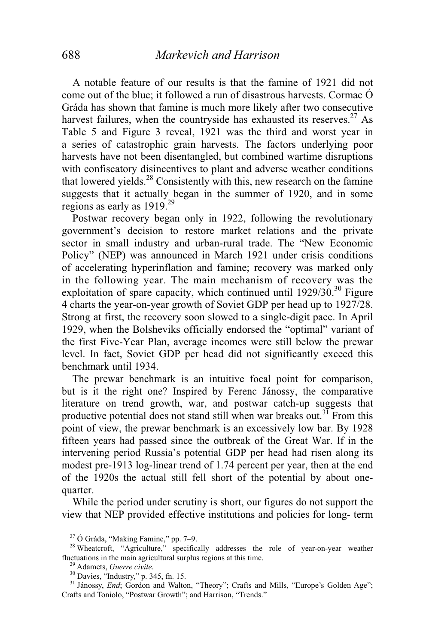A notable feature of our results is that the famine of 1921 did not come out of the blue; it followed a run of disastrous harvests. Cormac Ó Gráda has shown that famine is much more likely after two consecutive harvest failures, when the countryside has exhausted its reserves.<sup>27</sup> As Table 5 and Figure 3 reveal, 1921 was the third and worst year in a series of catastrophic grain harvests. The factors underlying poor harvests have not been disentangled, but combined wartime disruptions with confiscatory disincentives to plant and adverse weather conditions that lowered yields. $28$  Consistently with this, new research on the famine suggests that it actually began in the summer of 1920, and in some regions as early as  $1919^{29}$ 

 Postwar recovery began only in 1922, following the revolutionary government's decision to restore market relations and the private sector in small industry and urban-rural trade. The "New Economic Policy" (NEP) was announced in March 1921 under crisis conditions of accelerating hyperinflation and famine; recovery was marked only in the following year. The main mechanism of recovery was the exploitation of spare capacity, which continued until  $1929/30$ .<sup>30</sup> Figure 4 charts the year-on-year growth of Soviet GDP per head up to 1927/28. Strong at first, the recovery soon slowed to a single-digit pace. In April 1929, when the Bolsheviks officially endorsed the "optimal" variant of the first Five-Year Plan, average incomes were still below the prewar level. In fact, Soviet GDP per head did not significantly exceed this benchmark until 1934.

 The prewar benchmark is an intuitive focal point for comparison, but is it the right one? Inspired by Ferenc Jánossy, the comparative literature on trend growth, war, and postwar catch-up suggests that productive potential does not stand still when war breaks out.<sup>31</sup> From this point of view, the prewar benchmark is an excessively low bar. By 1928 fifteen years had passed since the outbreak of the Great War. If in the intervening period Russia's potential GDP per head had risen along its modest pre-1913 log-linear trend of 1.74 percent per year, then at the end of the 1920s the actual still fell short of the potential by about onequarter.

 While the period under scrutiny is short, our figures do not support the view that NEP provided effective institutions and policies for long- term

 $27$  Ó Gráda, "Making Famine," pp. 7-9.

<sup>&</sup>lt;sup>28</sup> Wheatcroft, "Agriculture," specifically addresses the role of year-on-year weather fluctuations in the main agricultural surplus regions at this time.

<sup>&</sup>lt;sup>29</sup> Adamets, *Guerre civile*. <sup>30</sup> Davies, "Industry," p. 345, fn. 15.

<sup>&</sup>lt;sup>31</sup> Jánossy, *End*; Gordon and Walton, "Theory"; Crafts and Mills, "Europe's Golden Age"; Crafts and Toniolo, "Postwar Growth"; and Harrison, "Trends."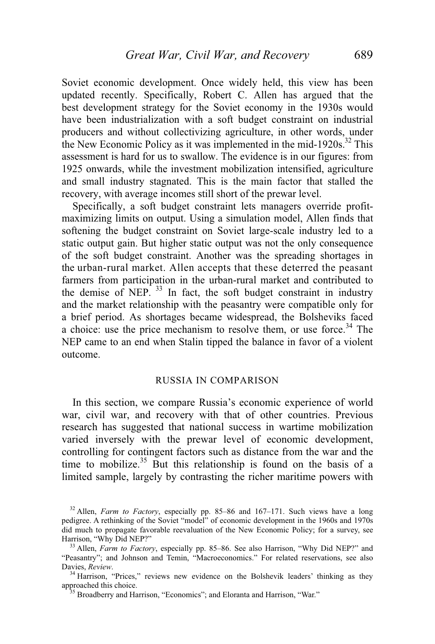Soviet economic development. Once widely held, this view has been updated recently. Specifically, Robert C. Allen has argued that the best development strategy for the Soviet economy in the 1930s would have been industrialization with a soft budget constraint on industrial producers and without collectivizing agriculture, in other words, under the New Economic Policy as it was implemented in the mid-1920s.<sup>32</sup> This assessment is hard for us to swallow. The evidence is in our figures: from 1925 onwards, while the investment mobilization intensified, agriculture and small industry stagnated. This is the main factor that stalled the recovery, with average incomes still short of the prewar level.

 Specifically, a soft budget constraint lets managers override profitmaximizing limits on output. Using a simulation model, Allen finds that softening the budget constraint on Soviet large-scale industry led to a static output gain. But higher static output was not the only consequence of the soft budget constraint. Another was the spreading shortages in the urban-rural market. Allen accepts that these deterred the peasant farmers from participation in the urban-rural market and contributed to the demise of NEP.  $33$  In fact, the soft budget constraint in industry and the market relationship with the peasantry were compatible only for a brief period. As shortages became widespread, the Bolsheviks faced a choice: use the price mechanism to resolve them, or use force.<sup>34</sup> The NEP came to an end when Stalin tipped the balance in favor of a violent outcome.

#### RUSSIA IN COMPARISON

 In this section, we compare Russia's economic experience of world war, civil war, and recovery with that of other countries. Previous research has suggested that national success in wartime mobilization varied inversely with the prewar level of economic development, controlling for contingent factors such as distance from the war and the time to mobilize.<sup>35</sup> But this relationship is found on the basis of a limited sample, largely by contrasting the richer maritime powers with

<sup>32</sup> Allen, *Farm to Factory*, especially pp. 85–86 and 167–171. Such views have a long pedigree. A rethinking of the Soviet "model" of economic development in the 1960s and 1970s did much to propagate favorable reevaluation of the New Economic Policy; for a survey, see Harrison, "Why Did NEP?"<br><sup>33</sup> Allen, *Farm to Factory*, especially pp. 85–86. See also Harrison, "Why Did NEP?" and

<sup>&</sup>quot;Peasantry"; and Johnson and Temin, "Macroeconomics." For related reservations, see also<br>Davies. Review.

<sup>&</sup>lt;sup>34</sup> Harrison, "Prices," reviews new evidence on the Bolshevik leaders' thinking as they approached this choice.

 $^{35}$  Broadberry and Harrison, "Economics"; and Eloranta and Harrison, "War."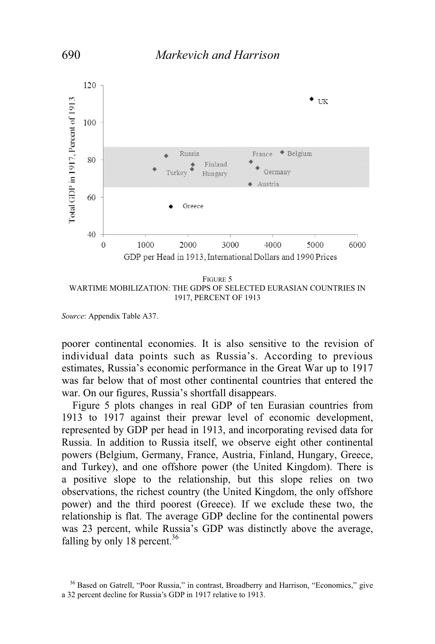

WARTIME MOBILIZATION: THE GDPS OF SELECTED EURASIAN COUNTRIES IN 1917, PERCENT OF 1913

*Source*: Appendix Table A37.

poorer continental economies. It is also sensitive to the revision of individual data points such as Russia's. According to previous estimates, Russia's economic performance in the Great War up to 1917 was far below that of most other continental countries that entered the war. On our figures, Russia's shortfall disappears.

Figure 5 plots changes in real GDP of ten Eurasian countries from 1913 to 1917 against their prewar level of economic development, represented by GDP per head in 1913, and incorporating revised data for Russia. In addition to Russia itself, we observe eight other continental powers (Belgium, Germany, France, Austria, Finland, Hungary, Greece, and Turkey), and one offshore power (the United Kingdom). There is a positive slope to the relationship, but this slope relies on two observations, the richest country (the United Kingdom, the only offshore power) and the third poorest (Greece). If we exclude these two, the relationship is flat. The average GDP decline for the continental powers was 23 percent, while Russia's GDP was distinctly above the average, falling by only 18 percent. $36$ 

<sup>&</sup>lt;sup>36</sup> Based on Gatrell, "Poor Russia," in contrast, Broadberry and Harrison, "Economics," give a 32 percent decline for Russia's GDP in 1917 relative to 1913.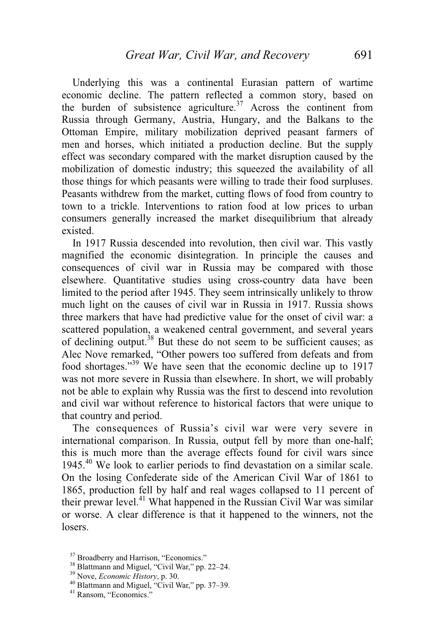Underlying this was a continental Eurasian pattern of wartime economic decline. The pattern reflected a common story, based on the burden of subsistence agriculture.<sup>37</sup> Across the continent from Russia through Germany, Austria, Hungary, and the Balkans to the Ottoman Empire, military mobilization deprived peasant farmers of men and horses, which initiated a production decline. But the supply effect was secondary compared with the market disruption caused by the mobilization of domestic industry; this squeezed the availability of all those things for which peasants were willing to trade their food surpluses. Peasants withdrew from the market, cutting flows of food from country to town to a trickle. Interventions to ration food at low prices to urban consumers generally increased the market disequilibrium that already existed.

 In 1917 Russia descended into revolution, then civil war. This vastly magnified the economic disintegration. In principle the causes and consequences of civil war in Russia may be compared with those elsewhere. Quantitative studies using cross-country data have been limited to the period after 1945. They seem intrinsically unlikely to throw much light on the causes of civil war in Russia in 1917. Russia shows three markers that have had predictive value for the onset of civil war: a scattered population, a weakened central government, and several years of declining output.38 But these do not seem to be sufficient causes; as Alec Nove remarked, "Other powers too suffered from defeats and from food shortages."39 We have seen that the economic decline up to 1917 was not more severe in Russia than elsewhere. In short, we will probably not be able to explain why Russia was the first to descend into revolution and civil war without reference to historical factors that were unique to that country and period.

 The consequences of Russia's civil war were very severe in international comparison. In Russia, output fell by more than one-half; this is much more than the average effects found for civil wars since 1945.40 We look to earlier periods to find devastation on a similar scale. On the losing Confederate side of the American Civil War of 1861 to 1865, production fell by half and real wages collapsed to 11 percent of their prewar level. $^{41}$  What happened in the Russian Civil War was similar or worse. A clear difference is that it happened to the winners, not the losers.

<sup>&</sup>lt;sup>37</sup> Broadberry and Harrison, "Economics."

 $38$  Blattmann and Miguel, "Civil War," pp. 22–24.<br> $39$  Nove, *Economic History*, p. 30.

<sup>&</sup>lt;sup>40</sup> Blattmann and Miguel, "Civil War," pp. 37-39.

<sup>&</sup>lt;sup>41</sup> Ransom, "Economics."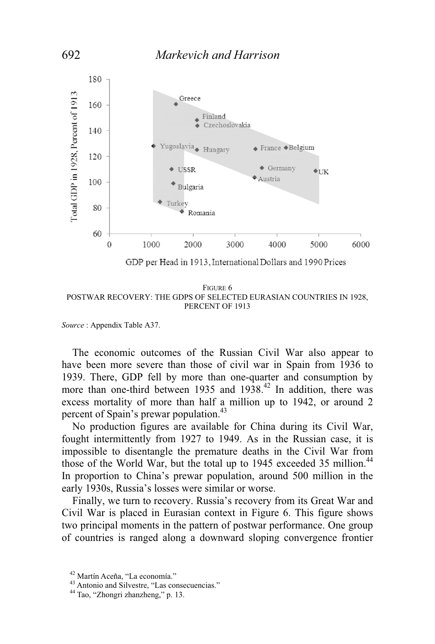

FIGURE 6 POSTWAR RECOVERY: THE GDPS OF SELECTED EURASIAN COUNTRIES IN 1928, PERCENT OF 1913

*Source* : Appendix Table A37.

 The economic outcomes of the Russian Civil War also appear to have been more severe than those of civil war in Spain from 1936 to 1939. There, GDP fell by more than one-quarter and consumption by more than one-third between 1935 and  $1938<sup>42</sup>$  In addition, there was excess mortality of more than half a million up to 1942, or around 2 percent of Spain's prewar population.<sup>43</sup>

 No production figures are available for China during its Civil War, fought intermittently from 1927 to 1949. As in the Russian case, it is impossible to disentangle the premature deaths in the Civil War from those of the World War, but the total up to 1945 exceeded 35 million.<sup>44</sup> In proportion to China's prewar population, around 500 million in the early 1930s, Russia's losses were similar or worse.

 Finally, we turn to recovery. Russia's recovery from its Great War and Civil War is placed in Eurasian context in Figure 6. This figure shows two principal moments in the pattern of postwar performance. One group of countries is ranged along a downward sloping convergence frontier

<sup>42</sup> Martín Aceña, "La economía."

<sup>43</sup> Antonio and Silvestre, "Las consecuencias."

<sup>44</sup> Tao, "Zhongri zhanzheng," p. 13.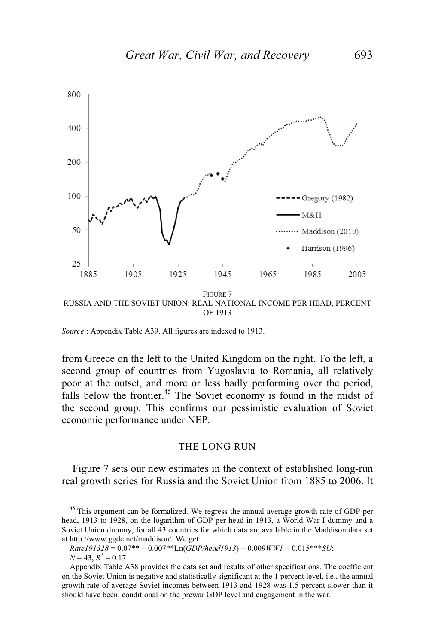

OF 1913

*Source* : Appendix Table A39. All figures are indexed to 1913.

from Greece on the left to the United Kingdom on the right. To the left, a second group of countries from Yugoslavia to Romania, all relatively poor at the outset, and more or less badly performing over the period, falls below the frontier.<sup>45</sup> The Soviet economy is found in the midst of the second group. This confirms our pessimistic evaluation of Soviet economic performance under NEP.

#### THE LONG RUN

 Figure 7 sets our new estimates in the context of established long-run real growth series for Russia and the Soviet Union from 1885 to 2006. It

<sup>45</sup> This argument can be formalized. We regress the annual average growth rate of GDP per head, 1913 to 1928, on the logarithm of GDP per head in 1913, a World War I dummy and a Soviet Union dummy, for all 43 countries for which data are available in the Maddison data set at http://www.ggdc.net/maddison/. We get:

*Rate191328* = 0.07\*\* - 0.007\*\*Ln(*GDP/head1913*) - 0.009*WW1* - 0.015\*\*\**SU*;  $N = 43, R^2 = 0.17$ 

Appendix Table A38 provides the data set and results of other specifications. The coefficient on the Soviet Union is negative and statistically significant at the 1 percent level, i.e., the annual growth rate of average Soviet incomes between 1913 and 1928 was 1.5 percent slower than it should have been, conditional on the prewar GDP level and engagement in the war.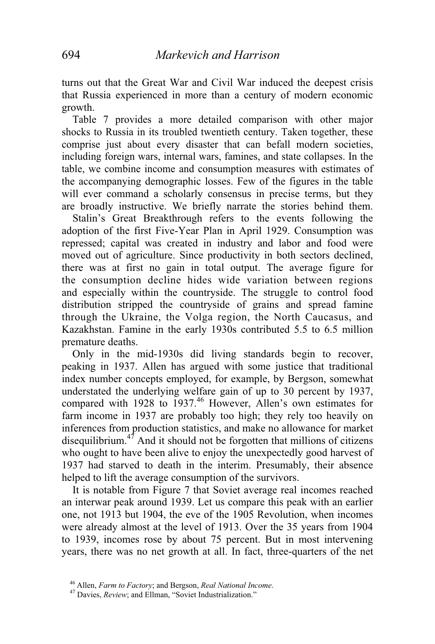turns out that the Great War and Civil War induced the deepest crisis that Russia experienced in more than a century of modern economic growth.

 Table 7 provides a more detailed comparison with other major shocks to Russia in its troubled twentieth century. Taken together, these comprise just about every disaster that can befall modern societies, including foreign wars, internal wars, famines, and state collapses. In the table, we combine income and consumption measures with estimates of the accompanying demographic losses. Few of the figures in the table will ever command a scholarly consensus in precise terms, but they are broadly instructive. We briefly narrate the stories behind them.

 Stalin's Great Breakthrough refers to the events following the adoption of the first Five-Year Plan in April 1929. Consumption was repressed; capital was created in industry and labor and food were moved out of agriculture. Since productivity in both sectors declined, there was at first no gain in total output. The average figure for the consumption decline hides wide variation between regions and especially within the countryside. The struggle to control food distribution stripped the countryside of grains and spread famine through the Ukraine, the Volga region, the North Caucasus, and Kazakhstan. Famine in the early 1930s contributed 5.5 to 6.5 million premature deaths.

 Only in the mid-1930s did living standards begin to recover, peaking in 1937. Allen has argued with some justice that traditional index number concepts employed, for example, by Bergson, somewhat understated the underlying welfare gain of up to 30 percent by 1937, compared with 1928 to 1937.<sup>46</sup> However, Allen's own estimates for farm income in 1937 are probably too high; they rely too heavily on inferences from production statistics, and make no allowance for market disequilibrium.<sup>47</sup> And it should not be forgotten that millions of citizens who ought to have been alive to enjoy the unexpectedly good harvest of 1937 had starved to death in the interim. Presumably, their absence helped to lift the average consumption of the survivors.

 It is notable from Figure 7 that Soviet average real incomes reached an interwar peak around 1939. Let us compare this peak with an earlier one, not 1913 but 1904, the eve of the 1905 Revolution, when incomes were already almost at the level of 1913. Over the 35 years from 1904 to 1939, incomes rose by about 75 percent. But in most intervening years, there was no net growth at all. In fact, three-quarters of the net

<sup>46</sup> Allen, *Farm to Factory*; and Bergson, *Real National Income*. 47 Davies, *Review*; and Ellman, "Soviet Industrialization."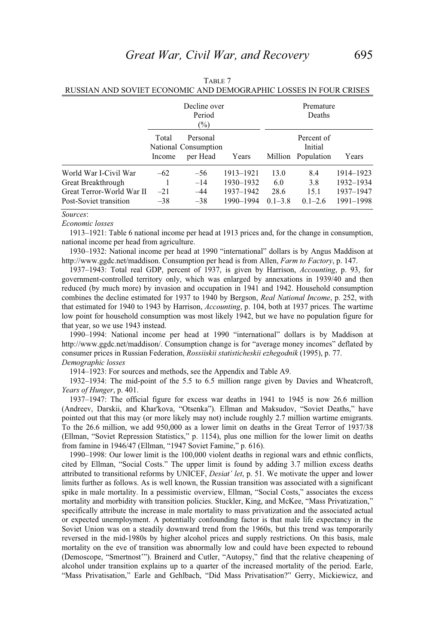|                                                                                                    |                         | Decline over<br>Period<br>$(\%)$             |                                                  |                                    | Premature<br>Deaths                 |                                                  |
|----------------------------------------------------------------------------------------------------|-------------------------|----------------------------------------------|--------------------------------------------------|------------------------------------|-------------------------------------|--------------------------------------------------|
|                                                                                                    | Total<br>Income         | Personal<br>National Consumption<br>per Head | Years                                            | Million                            | Percent of<br>Initial<br>Population | Years                                            |
| World War I-Civil War<br>Great Breakthrough<br>Great Terror-World War II<br>Post-Soviet transition | $-62$<br>$-21$<br>$-38$ | $-56$<br>$-14$<br>$-44$<br>$-38$             | 1913-1921<br>1930-1932<br>1937-1942<br>1990-1994 | 13.0<br>6.0<br>28.6<br>$0.1 - 3.8$ | 8.4<br>3.8<br>15.1<br>$0.1 - 2.6$   | 1914–1923<br>1932-1934<br>1937-1947<br>1991-1998 |

| Table 7                                                           |
|-------------------------------------------------------------------|
| RUSSIAN AND SOVIET ECONOMIC AND DEMOGRAPHIC LOSSES IN FOUR CRISES |

#### *Sources*:

#### *Economic losses*

1913–1921: Table 6 national income per head at 1913 prices and, for the change in consumption, national income per head from agriculture.

1930–1932: National income per head at 1990 "international" dollars is by Angus Maddison at http://www.ggdc.net/maddison. Consumption per head is from Allen, *Farm to Factory*, p. 147.

1937–1943: Total real GDP, percent of 1937, is given by Harrison, *Accounting*, p. 93, for government-controlled territory only, which was enlarged by annexations in 1939/40 and then reduced (by much more) by invasion and occupation in 1941 and 1942. Household consumption combines the decline estimated for 1937 to 1940 by Bergson, *Real National Income*, p. 252, with that estimated for 1940 to 1943 by Harrison, *Accounting*, p. 104, both at 1937 prices. The wartime low point for household consumption was most likely 1942, but we have no population figure for that year, so we use 1943 instead.

1990–1994: National income per head at 1990 "international" dollars is by Maddison at http://www.ggdc.net/maddison/. Consumption change is for "average money incomes" deflated by consumer prices in Russian Federation, *Rossiiskii statisticheskii ezhegodnik* (1995), p. 77. *Demographic losses*

1914–1923: For sources and methods, see the Appendix and Table A9.

1932–1934: The mid-point of the 5.5 to 6.5 million range given by Davies and Wheatcroft, *Years of Hunger*, p. 401.

1937–1947: The official figure for excess war deaths in 1941 to 1945 is now 26.6 million (Andreev, Darskii, and Khar'kova, "Otsenka"). Ellman and Maksudov, "Soviet Deaths," have pointed out that this may (or more likely may not) include roughly 2.7 million wartime emigrants. To the 26.6 million, we add 950,000 as a lower limit on deaths in the Great Terror of 1937/38 (Ellman, "Soviet Repression Statistics," p. 1154), plus one million for the lower limit on deaths from famine in 1946/47 (Ellman, "1947 Soviet Famine," p. 616).

1990–1998: Our lower limit is the 100,000 violent deaths in regional wars and ethnic conflicts, cited by Ellman, "Social Costs." The upper limit is found by adding 3.7 million excess deaths attributed to transitional reforms by UNICEF, *Desiat' let*, p. 51. We motivate the upper and lower limits further as follows. As is well known, the Russian transition was associated with a significant spike in male mortality. In a pessimistic overview, Ellman, "Social Costs," associates the excess mortality and morbidity with transition policies. Stuckler, King, and McKee, "Mass Privatization," specifically attribute the increase in male mortality to mass privatization and the associated actual or expected unemployment. A potentially confounding factor is that male life expectancy in the Soviet Union was on a steadily downward trend from the 1960s, but this trend was temporarily reversed in the mid-1980s by higher alcohol prices and supply restrictions. On this basis, male mortality on the eve of transition was abnormally low and could have been expected to rebound (Demoscope, "Smertnost'"). Brainerd and Cutler, "Autopsy," find that the relative cheapening of alcohol under transition explains up to a quarter of the increased mortality of the period. Earle, "Mass Privatisation," Earle and Gehlbach, "Did Mass Privatisation?" Gerry, Mickiewicz, and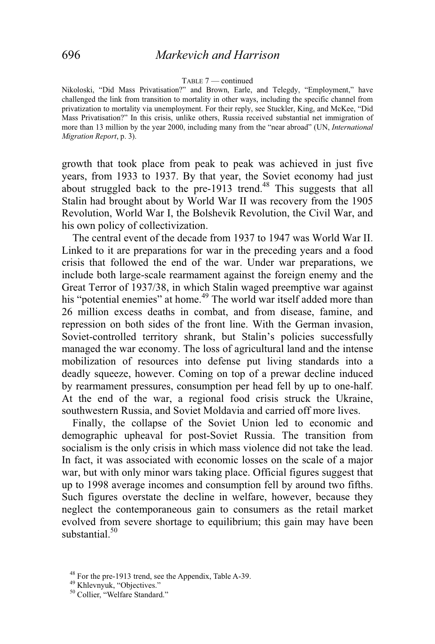#### TABLE 7 — continued

Nikoloski, "Did Mass Privatisation?" and Brown, Earle, and Telegdy, "Employment," have challenged the link from transition to mortality in other ways, including the specific channel from privatization to mortality via unemployment. For their reply, see Stuckler, King, and McKee, "Did Mass Privatisation?" In this crisis, unlike others, Russia received substantial net immigration of more than 13 million by the year 2000, including many from the "near abroad" (UN, *International Migration Report*, p. 3).

growth that took place from peak to peak was achieved in just five years, from 1933 to 1937. By that year, the Soviet economy had just about struggled back to the pre-1913 trend.<sup>48</sup> This suggests that all Stalin had brought about by World War II was recovery from the 1905 Revolution, World War I, the Bolshevik Revolution, the Civil War, and his own policy of collectivization.

 The central event of the decade from 1937 to 1947 was World War II. Linked to it are preparations for war in the preceding years and a food crisis that followed the end of the war. Under war preparations, we include both large-scale rearmament against the foreign enemy and the Great Terror of 1937/38, in which Stalin waged preemptive war against his "potential enemies" at home.<sup>49</sup> The world war itself added more than 26 million excess deaths in combat, and from disease, famine, and repression on both sides of the front line. With the German invasion, Soviet-controlled territory shrank, but Stalin's policies successfully managed the war economy. The loss of agricultural land and the intense mobilization of resources into defense put living standards into a deadly squeeze, however. Coming on top of a prewar decline induced by rearmament pressures, consumption per head fell by up to one-half. At the end of the war, a regional food crisis struck the Ukraine, southwestern Russia, and Soviet Moldavia and carried off more lives.

 Finally, the collapse of the Soviet Union led to economic and demographic upheaval for post-Soviet Russia. The transition from socialism is the only crisis in which mass violence did not take the lead. In fact, it was associated with economic losses on the scale of a major war, but with only minor wars taking place. Official figures suggest that up to 1998 average incomes and consumption fell by around two fifths. Such figures overstate the decline in welfare, however, because they neglect the contemporaneous gain to consumers as the retail market evolved from severe shortage to equilibrium; this gain may have been substantial.<sup>50</sup>

<sup>48</sup> For the pre-1913 trend, see the Appendix, Table A-39.

<sup>49</sup> Khlevnyuk, "Objectives."

<sup>&</sup>lt;sup>50</sup> Collier, "Welfare Standard."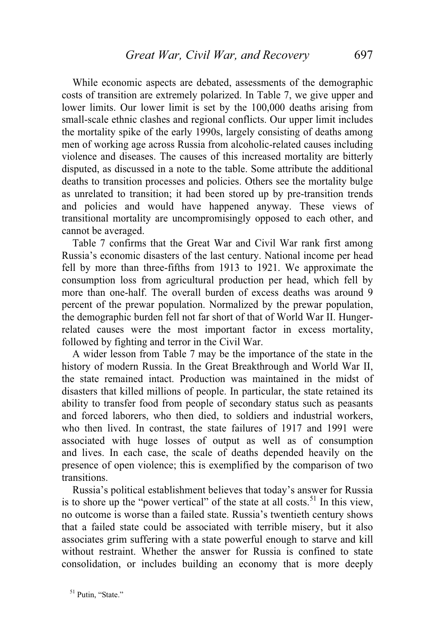While economic aspects are debated, assessments of the demographic costs of transition are extremely polarized. In Table 7, we give upper and lower limits. Our lower limit is set by the 100,000 deaths arising from small-scale ethnic clashes and regional conflicts. Our upper limit includes the mortality spike of the early 1990s, largely consisting of deaths among men of working age across Russia from alcoholic-related causes including violence and diseases. The causes of this increased mortality are bitterly disputed, as discussed in a note to the table. Some attribute the additional deaths to transition processes and policies. Others see the mortality bulge as unrelated to transition; it had been stored up by pre-transition trends and policies and would have happened anyway. These views of transitional mortality are uncompromisingly opposed to each other, and cannot be averaged.

 Table 7 confirms that the Great War and Civil War rank first among Russia's economic disasters of the last century. National income per head fell by more than three-fifths from 1913 to 1921. We approximate the consumption loss from agricultural production per head, which fell by more than one-half. The overall burden of excess deaths was around 9 percent of the prewar population. Normalized by the prewar population, the demographic burden fell not far short of that of World War II. Hungerrelated causes were the most important factor in excess mortality, followed by fighting and terror in the Civil War.

 A wider lesson from Table 7 may be the importance of the state in the history of modern Russia. In the Great Breakthrough and World War II, the state remained intact. Production was maintained in the midst of disasters that killed millions of people. In particular, the state retained its ability to transfer food from people of secondary status such as peasants and forced laborers, who then died, to soldiers and industrial workers, who then lived. In contrast, the state failures of 1917 and 1991 were associated with huge losses of output as well as of consumption and lives. In each case, the scale of deaths depended heavily on the presence of open violence; this is exemplified by the comparison of two transitions.

 Russia's political establishment believes that today's answer for Russia is to shore up the "power vertical" of the state at all costs. $51$  In this view, no outcome is worse than a failed state. Russia's twentieth century shows that a failed state could be associated with terrible misery, but it also associates grim suffering with a state powerful enough to starve and kill without restraint. Whether the answer for Russia is confined to state consolidation, or includes building an economy that is more deeply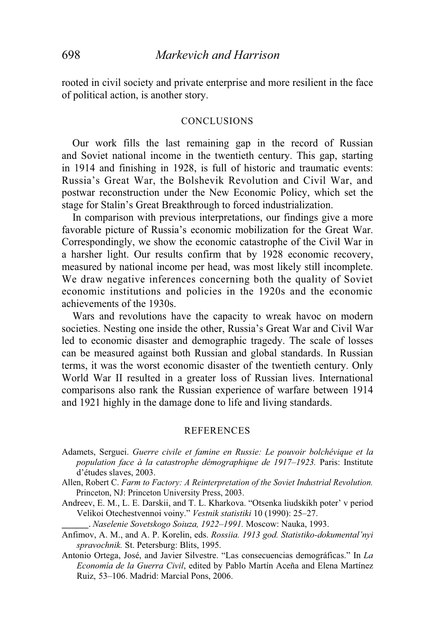rooted in civil society and private enterprise and more resilient in the face of political action, is another story.

#### CONCLUSIONS

 Our work fills the last remaining gap in the record of Russian and Soviet national income in the twentieth century. This gap, starting in 1914 and finishing in 1928, is full of historic and traumatic events: Russia's Great War, the Bolshevik Revolution and Civil War, and postwar reconstruction under the New Economic Policy, which set the stage for Stalin's Great Breakthrough to forced industrialization.

 In comparison with previous interpretations, our findings give a more favorable picture of Russia's economic mobilization for the Great War. Correspondingly, we show the economic catastrophe of the Civil War in a harsher light. Our results confirm that by 1928 economic recovery, measured by national income per head, was most likely still incomplete. We draw negative inferences concerning both the quality of Soviet economic institutions and policies in the 1920s and the economic achievements of the 1930s.

 Wars and revolutions have the capacity to wreak havoc on modern societies. Nesting one inside the other, Russia's Great War and Civil War led to economic disaster and demographic tragedy. The scale of losses can be measured against both Russian and global standards. In Russian terms, it was the worst economic disaster of the twentieth century. Only World War II resulted in a greater loss of Russian lives. International comparisons also rank the Russian experience of warfare between 1914 and 1921 highly in the damage done to life and living standards.

#### REFERENCES

- Adamets, Serguei. *Guerre civile et famine en Russie: Le pouvoir bolchévique et la population face à la catastrophe démographique de 1917–1923.* Paris: Institute d'études slaves, 2003.
- Allen, Robert C. *Farm to Factory: A Reinterpretation of the Soviet Industrial Revolution.* Princeton, NJ: Princeton University Press, 2003.
- Andreev, E. M., L. E. Darskii, and T. L. Kharkova. "Otsenka liudskikh poter' v period Velikoi Otechestvennoi voiny." *Vestnik statistiki* 10 (1990): 25–27.

\_\_\_\_\_\_.-*Naselenie Sovetskogo Soiuza, 1922–1991.* Moscow: Nauka, 1993.

- Anfimov, A. M., and A. P. Korelin, eds. *Rossiia. 1913 god. Statistiko-dokumental'nyi spravochnik.* St. Petersburg: Blits, 1995.
- Antonio Ortega, José, and Javier Silvestre. "Las consecuencias demográficas." In *La Economía de la Guerra Civil*, edited by Pablo Martín Aceña and Elena Martínez Ruiz, 53–106. Madrid: Marcial Pons, 2006.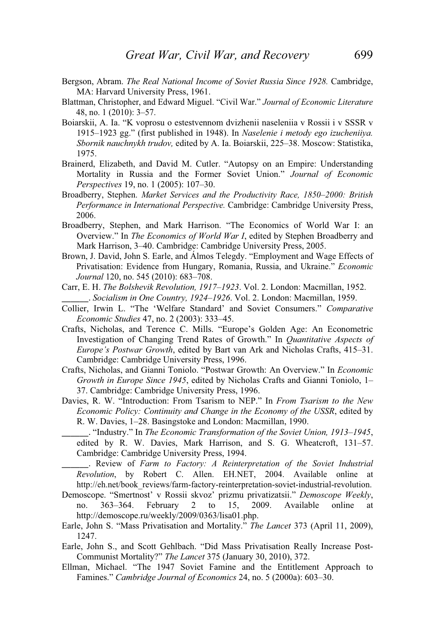- Bergson, Abram. *The Real National Income of Soviet Russia Since 1928.* Cambridge, MA: Harvard University Press, 1961.
- Blattman, Christopher, and Edward Miguel. "Civil War." *Journal of Economic Literature* 48, no. 1 (2010): 3–57.
- Boiarskii, A. Ia. "K voprosu o estestvennom dvizhenii naseleniia v Rossii i v SSSR v 1915–1923 gg." (first published in 1948). In *Naselenie i metody ego izucheniiya. Sbornik nauchnykh trudov,* edited by A. Ia. Boiarskii, 225–38. Moscow: Statistika, 1975.
- Brainerd, Elizabeth, and David M. Cutler. "Autopsy on an Empire: Understanding Mortality in Russia and the Former Soviet Union." *Journal of Economic Perspectives* 19, no. 1 (2005): 107–30.
- Broadberry, Stephen. *Market Services and the Productivity Race, 1850–2000: British Performance in International Perspective.* Cambridge: Cambridge University Press, 2006.
- Broadberry, Stephen, and Mark Harrison. "The Economics of World War I: an Overview." In *The Economics of World War I*, edited by Stephen Broadberry and Mark Harrison, 3–40. Cambridge: Cambridge University Press, 2005.
- Brown, J. David, John S. Earle, and Álmos Telegdy. "Employment and Wage Effects of Privatisation: Evidence from Hungary, Romania, Russia, and Ukraine." *Economic Journal* 120, no. 545 (2010): 683–708.
- Carr, E. H. *The Bolshevik Revolution, 1917–1923*. Vol. 2. London: Macmillan, 1952. \_\_\_\_\_\_.-*Socialism in One Country, 1924–1926*. Vol. 2. London: Macmillan, 1959.
- Collier, Irwin L. "The 'Welfare Standard' and Soviet Consumers." *Comparative Economic Studies* 47, no. 2 (2003): 333–45.
- Crafts, Nicholas, and Terence C. Mills. "Europe's Golden Age: An Econometric Investigation of Changing Trend Rates of Growth." In *Quantitative Aspects of Europe's Postwar Growth*, edited by Bart van Ark and Nicholas Crafts, 415–31. Cambridge: Cambridge University Press, 1996.
- Crafts, Nicholas, and Gianni Toniolo. "Postwar Growth: An Overview." In *Economic Growth in Europe Since 1945*, edited by Nicholas Crafts and Gianni Toniolo, 1– 37. Cambridge: Cambridge University Press, 1996.
- Davies, R. W. "Introduction: From Tsarism to NEP." In *From Tsarism to the New Economic Policy: Continuity and Change in the Economy of the USSR*, edited by R. W. Davies, 1–28. Basingstoke and London: Macmillan, 1990.
- \_\_\_\_\_\_.-"Industry." In *The Economic Transformation of the Soviet Union, 1913–1945*, edited by R. W. Davies, Mark Harrison, and S. G. Wheatcroft, 131–57. Cambridge: Cambridge University Press, 1994.

\_\_\_\_\_\_.- Review of *Farm to Factory: A Reinterpretation of the Soviet Industrial Revolution*, by Robert C. Allen. EH.NET, 2004. Available online at http://eh.net/book\_reviews/farm-factory-reinterpretation-soviet-industrial-revolution.

- Demoscope. "Smertnost' v Rossii skvoz' prizmu privatizatsii." *Demoscope Weekly*, no. 363–364. February 2 to 15, 2009. Available online at http://demoscope.ru/weekly/2009/0363/lisa01.php.
- Earle, John S. "Mass Privatisation and Mortality." *The Lancet* 373 (April 11, 2009), 1247.
- Earle, John S., and Scott Gehlbach. "Did Mass Privatisation Really Increase Post-Communist Mortality?" *The Lancet* 375 (January 30, 2010), 372.
- Ellman, Michael. "The 1947 Soviet Famine and the Entitlement Approach to Famines." *Cambridge Journal of Economics* 24, no. 5 (2000a): 603–30.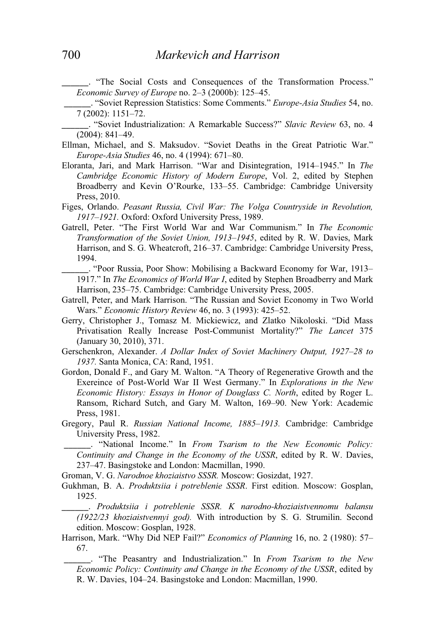\_\_\_\_\_\_.- "The Social Costs and Consequences of the Transformation Process." *Economic Survey of Europe* no. 2–3 (2000b): 125–45.

\_\_\_\_\_\_.-"Soviet Repression Statistics: Some Comments." *Europe-Asia Studies* 54, no. 7 (2002): 1151–72.

\_\_\_\_\_\_.- "Soviet Industrialization: A Remarkable Success?" *Slavic Review* 63, no. 4 (2004): 841–49.

- Ellman, Michael, and S. Maksudov. "Soviet Deaths in the Great Patriotic War." *Europe-Asia Studies* 46, no. 4 (1994): 671–80.
- Eloranta, Jari, and Mark Harrison. "War and Disintegration, 1914–1945." In *The Cambridge Economic History of Modern Europe*, Vol. 2, edited by Stephen Broadberry and Kevin O'Rourke, 133–55. Cambridge: Cambridge University Press, 2010.
- Figes, Orlando. *Peasant Russia, Civil War: The Volga Countryside in Revolution, 1917–1921.* Oxford: Oxford University Press, 1989.
- Gatrell, Peter. "The First World War and War Communism." In *The Economic Transformation of the Soviet Union, 1913–1945*, edited by R. W. Davies, Mark Harrison, and S. G. Wheatcroft, 216–37. Cambridge: Cambridge University Press, 1994.
- \_\_\_\_\_\_.-"Poor Russia, Poor Show: Mobilising a Backward Economy for War, 1913– 1917." In *The Economics of World War I*, edited by Stephen Broadberry and Mark Harrison, 235–75. Cambridge: Cambridge University Press, 2005.
- Gatrell, Peter, and Mark Harrison. "The Russian and Soviet Economy in Two World Wars." *Economic History Review* 46, no. 3 (1993): 425–52.
- Gerry, Christopher J., Tomasz M. Mickiewicz, and Zlatko Nikoloski. "Did Mass Privatisation Really Increase Post-Communist Mortality?" *The Lancet* 375 (January 30, 2010), 371.
- Gerschenkron, Alexander. *A Dollar Index of Soviet Machinery Output, 1927–28 to 1937.* Santa Monica, CA: Rand, 1951.
- Gordon, Donald F., and Gary M. Walton. "A Theory of Regenerative Growth and the Exereince of Post-World War II West Germany." In *Explorations in the New Economic History: Essays in Honor of Douglass C. North*, edited by Roger L. Ransom, Richard Sutch, and Gary M. Walton, 169–90. New York: Academic Press, 1981.
- Gregory, Paul R. *Russian National Income, 1885–1913.* Cambridge: Cambridge University Press, 1982.
- \_\_\_\_\_\_.- "National Income." In *From Tsarism to the New Economic Policy: Continuity and Change in the Economy of the USSR*, edited by R. W. Davies, 237–47. Basingstoke and London: Macmillan, 1990.

Groman, V. G. *Narodnoe khoziaistvo SSSR.* Moscow: Gosizdat, 1927.

Gukhman, B. A. *Produktsiia i potreblenie SSSR*. First edition. Moscow: Gosplan, 1925.

\_\_\_\_\_\_.- *Produktsiia i potreblenie SSSR. K narodno-khoziaistvennomu balansu (1922/23 khoziaistvennyi god).* With introduction by S. G. Strumilin. Second edition. Moscow: Gosplan, 1928.

Harrison, Mark. "Why Did NEP Fail?" *Economics of Planning* 16, no. 2 (1980): 57– 67.

\_\_\_\_\_\_.- "The Peasantry and Industrialization." In *From Tsarism to the New Economic Policy: Continuity and Change in the Economy of the USSR*, edited by R. W. Davies, 104–24. Basingstoke and London: Macmillan, 1990.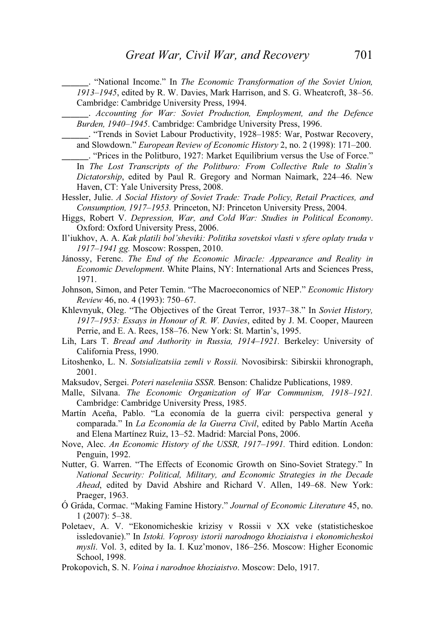\_\_\_\_\_\_.- "National Income." In *The Economic Transformation of the Soviet Union, 1913–1945*, edited by R. W. Davies, Mark Harrison, and S. G. Wheatcroft, 38–56. Cambridge: Cambridge University Press, 1994.

\_\_\_\_\_\_.- *Accounting for War: Soviet Production, Employment, and the Defence Burden, 1940–1945*. Cambridge: Cambridge University Press, 1996.

\_\_\_\_\_\_.-"Trends in Soviet Labour Productivity, 1928–1985: War, Postwar Recovery, and Slowdown." *European Review of Economic History* 2, no. 2 (1998): 171–200.

- \_\_\_\_\_\_.-"Prices in the Politburo, 1927: Market Equilibrium versus the Use of Force." In *The Lost Transcripts of the Politburo: From Collective Rule to Stalin's Dictatorship*, edited by Paul R. Gregory and Norman Naimark, 224–46. New Haven, CT: Yale University Press, 2008.
- Hessler, Julie. *A Social History of Soviet Trade: Trade Policy, Retail Practices, and Consumption, 1917–1953.* Princeton, NJ: Princeton University Press, 2004.
- Higgs, Robert V. *Depression, War, and Cold War: Studies in Political Economy*. Oxford: Oxford University Press, 2006.
- Il'iukhov, A. A. *Kak platili bol'sheviki: Politika sovetskoi vlasti v sfere oplaty truda v 1917–1941 gg.* Moscow: Rosspen, 2010.
- Jánossy, Ferenc. *The End of the Economic Miracle: Appearance and Reality in Economic Development*. White Plains, NY: International Arts and Sciences Press, 1971.
- Johnson, Simon, and Peter Temin. "The Macroeconomics of NEP." *Economic History Review* 46, no. 4 (1993): 750–67.
- Khlevnyuk, Oleg. "The Objectives of the Great Terror, 1937–38." In *Soviet History, 1917–1953: Essays in Honour of R. W. Davies*, edited by J. M. Cooper, Maureen Perrie, and E. A. Rees, 158–76. New York: St. Martin's, 1995.
- Lih, Lars T. *Bread and Authority in Russia, 1914–1921.* Berkeley: University of California Press, 1990.
- Litoshenko, L. N. *Sotsializatsiia zemli v Rossii.* Novosibirsk: Sibirskii khronograph, 2001.
- Maksudov, Sergei. *Poteri naseleniia SSSR.* Benson: Chalidze Publications, 1989.
- Malle, Silvana. *The Economic Organization of War Communism, 1918–1921.* Cambridge: Cambridge University Press, 1985.
- Martín Aceña, Pablo. "La economía de la guerra civil: perspectiva general y comparada." In *La Economía de la Guerra Civil*, edited by Pablo Martín Aceña and Elena Martínez Ruiz, 13–52. Madrid: Marcial Pons, 2006.
- Nove, Alec. *An Economic History of the USSR, 1917–1991.* Third edition. London: Penguin, 1992.
- Nutter, G. Warren. "The Effects of Economic Growth on Sino-Soviet Strategy." In *National Security: Political, Military, and Economic Strategies in the Decade Ahead*, edited by David Abshire and Richard V. Allen, 149–68. New York: Praeger, 1963.
- Ó Gráda, Cormac. "Making Famine History." *Journal of Economic Literature* 45, no. 1 (2007): 5–38.
- Poletaev, A. V. "Ekonomicheskie krizisy v Rossii v XX veke (statisticheskoe issledovanie)." In *Istoki. Voprosy istorii narodnogo khoziaistva i ekonomicheskoi mysli*. Vol. 3, edited by Ia. I. Kuz'monov, 186–256. Moscow: Higher Economic School, 1998.
- Prokopovich, S. N. *Voina i narodnoe khoziaistvo*. Moscow: Delo, 1917.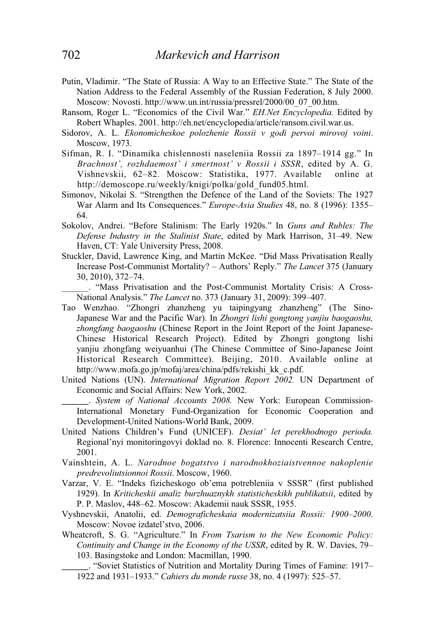- Putin, Vladimir. "The State of Russia: A Way to an Effective State." The State of the Nation Address to the Federal Assembly of the Russian Federation, 8 July 2000. Moscow: Novosti. http://www.un.int/russia/pressrel/2000/00\_07\_00.htm.
- Ransom, Roger L. "Economics of the Civil War." *EH.Net Encyclopedia.* Edited by Robert Whaples. 2001. http://eh.net/encyclopedia/article/ransom.civil.war.us.
- Sidorov, A. L. *Ekonomicheskoe polozhenie Rossii v godi pervoi mirovoj voini*. Moscow, 1973.
- Sifman, R. I. "Dinamika chislennosti naseleniia Rossii za 1897–1914 gg." In *Brachnost', rozhdaemost' i smertnost' v Rossii i SSSR*, edited by A. G. Vishnevskii, 62–82. Moscow: Statistika, 1977. Available online at http://demoscope.ru/weekly/knigi/polka/gold\_fund05.html.
- Simonov, Nikolai S. "Strengthen the Defence of the Land of the Soviets: The 1927 War Alarm and Its Consequences." *Europe-Asia Studies* 48, no. 8 (1996): 1355– 64.
- Sokolov, Andrei. "Before Stalinism: The Early 1920s." In *Guns and Rubles: The Defense Industry in the Stalinist State*, edited by Mark Harrison, 31–49. New Haven, CT: Yale University Press, 2008.
- Stuckler, David, Lawrence King, and Martin McKee. "Did Mass Privatisation Really Increase Post-Communist Mortality? – Authors' Reply." *The Lancet* 375 (January 30, 2010), 372–74.
- \_\_\_\_\_\_. "Mass Privatisation and the Post-Communist Mortality Crisis: A Cross-National Analysis." *The Lancet* no. 373 (January 31, 2009): 399–407.
- Tao Wenzhao. "Zhongri zhanzheng yu taipingyang zhanzheng" (The Sino-Japanese War and the Pacific War). In *Zhongri lishi gongtong yanjiu baogaoshu, zhongfang baogaoshu* (Chinese Report in the Joint Report of the Joint Japanese-Chinese Historical Research Project). Edited by Zhongri gongtong lishi yanjiu zhongfang weiyuanhui (The Chinese Committee of Sino-Japanese Joint Historical Research Committee). Beijing, 2010. Available online at http://www.mofa.go.jp/mofaj/area/china/pdfs/rekishi\_kk\_c.pdf.
- United Nations (UN). *International Migration Report 2002.* UN Department of Economic and Social Affairs: New York, 2002.
- \_\_\_\_\_\_.- *System of National Accounts 2008.* New York: European Commission-International Monetary Fund-Organization for Economic Cooperation and Development-United Nations-World Bank, 2009.
- United Nations Children's Fund (UNICEF). *Desiat' let perekhodnogo perioda.* Regional'nyi monitoringovyi doklad no. 8. Florence: Innocenti Research Centre, 2001.
- Vainshtein, A. L. *Narodnoe bogatstvo i narodnokhoziaistvennoe nakoplenie predrevoliutsionnoi Rossii*. Moscow, 1960.
- Varzar, V. E. "Indeks fizicheskogo ob'ema potrebleniia v SSSR" (first published 1929). In *Kriticheskii analiz burzhuaznykh statisticheskikh publikatsii*, edited by P. P. Maslov, 448–62. Moscow: Akademii nauk SSSR, 1955.
- Vyshnevskii, Anatolii, ed. *Demograficheskaia modernizatsiia Rossii: 1900–2000*. Moscow: Novoe izdatel'stvo, 2006.
- Wheatcroft, S. G. "Agriculture." In *From Tsarism to the New Economic Policy: Continuity and Change in the Economy of the USSR*, edited by R. W. Davies, 79– 103. Basingstoke and London: Macmillan, 1990.
- \_\_\_\_\_\_.-"Soviet Statistics of Nutrition and Mortality During Times of Famine: 1917– 1922 and 1931–1933." *Cahiers du monde russe* 38, no. 4 (1997): 525–57.